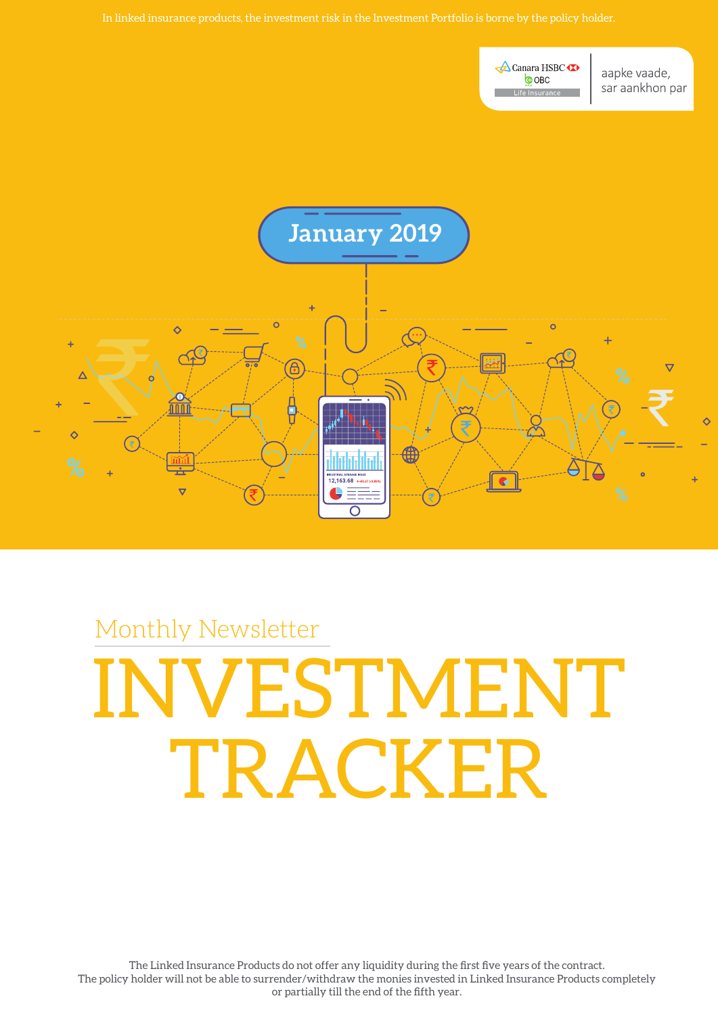**A** Canara HSBC **COBC** Life Insurance

aapke vaade, sar aankhon par



# Monthly Newsletter ESTMENT TRACKER

The Linked Insurance Products do not offer any liquidity during the first five years of the contract. The policy holder will not be able to surrender/withdraw the monies invested in Linked Insurance Products completely or partially till the end of the fifth year.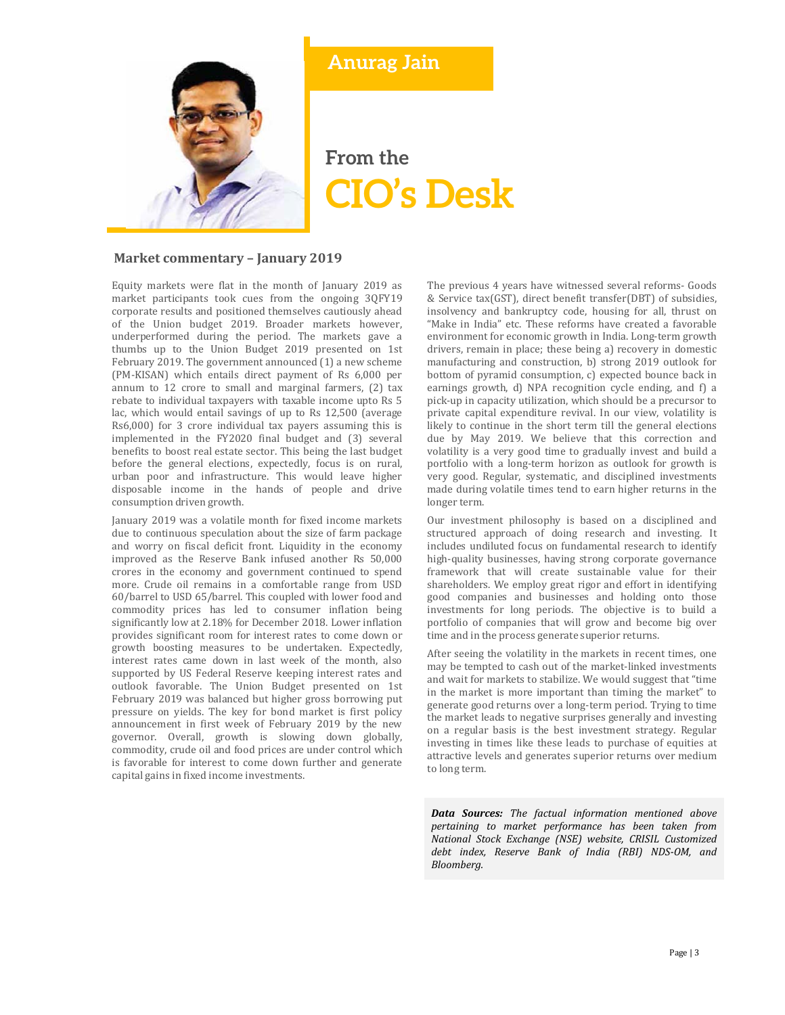

# **Anurag Jain**

# **From the CIO's Desk**

#### **Market commentary – January 2019**

Equity markets were flat in the month of January 2019 as market participants took cues from the ongoing 3QFY19 corporate results and positioned themselves cautiously ahead of the Union budget 2019. Broader markets however, underperformed during the period. The markets gave a thumbs up to the Union Budget 2019 presented on 1st February 2019. The government announced (1) a new scheme (PM-KISAN) which entails direct payment of Rs 6,000 per annum to 12 crore to small and marginal farmers, (2) tax rebate to individual taxpayers with taxable income upto Rs 5 lac, which would entail savings of up to Rs 12,500 (average Rs6,000) for 3 crore individual tax payers assuming this is implemented in the FY2020 final budget and (3) several benefits to boost real estate sector. This being the last budget before the general elections, expectedly, focus is on rural, urban poor and infrastructure. This would leave higher disposable income in the hands of people and drive consumption driven growth.

January 2019 was a volatile month for fixed income markets due to continuous speculation about the size of farm package and worry on fiscal deficit front. Liquidity in the economy improved as the Reserve Bank infused another Rs 50,000 crores in the economy and government continued to spend more. Crude oil remains in a comfortable range from USD 60/barrel to USD 65/barrel. This coupled with lower food and commodity prices has led to consumer inflation being significantly low at 2.18% for December 2018. Lower inflation provides significant room for interest rates to come down or growth boosting measures to be undertaken. Expectedly, interest rates came down in last week of the month, also supported by US Federal Reserve keeping interest rates and outlook favorable. The Union Budget presented on 1st February 2019 was balanced but higher gross borrowing put pressure on yields. The key for bond market is first policy announcement in first week of February 2019 by the new governor. Overall, growth is slowing down globally, commodity, crude oil and food prices are under control which is favorable for interest to come down further and generate capital gains in fixed income investments.

The previous 4 years have witnessed several reforms- Goods & Service tax(GST), direct benefit transfer(DBT) of subsidies, insolvency and bankruptcy code, housing for all, thrust on "Make in India" etc. These reforms have created a favorable environment for economic growth in India. Long-term growth drivers, remain in place; these being a) recovery in domestic manufacturing and construction, b) strong 2019 outlook for bottom of pyramid consumption, c) expected bounce back in earnings growth, d) NPA recognition cycle ending, and f) a pick-up in capacity utilization, which should be a precursor to private capital expenditure revival. In our view, volatility is likely to continue in the short term till the general elections due by May 2019. We believe that this correction and volatility is a very good time to gradually invest and build a portfolio with a long-term horizon as outlook for growth is very good. Regular, systematic, and disciplined investments made during volatile times tend to earn higher returns in the longer term.

Our investment philosophy is based on a disciplined and structured approach of doing research and investing. It includes undiluted focus on fundamental research to identify high-quality businesses, having strong corporate governance framework that will create sustainable value for their shareholders. We employ great rigor and effort in identifying good companies and businesses and holding onto those investments for long periods. The objective is to build a portfolio of companies that will grow and become big over time and in the process generate superior returns.

After seeing the volatility in the markets in recent times, one may be tempted to cash out of the market-linked investments and wait for markets to stabilize. We would suggest that "time in the market is more important than timing the market" to generate good returns over a long-term period. Trying to time the market leads to negative surprises generally and investing on a regular basis is the best investment strategy. Regular investing in times like these leads to purchase of equities at attractive levels and generates superior returns over medium to long term.

*Data Sources: The factual information mentioned above pertaining to market performance has been taken from National Stock Exchange (NSE) website, CRISIL Customized debt index, Reserve Bank of India (RBI) NDS‐OM, and Bloomberg.*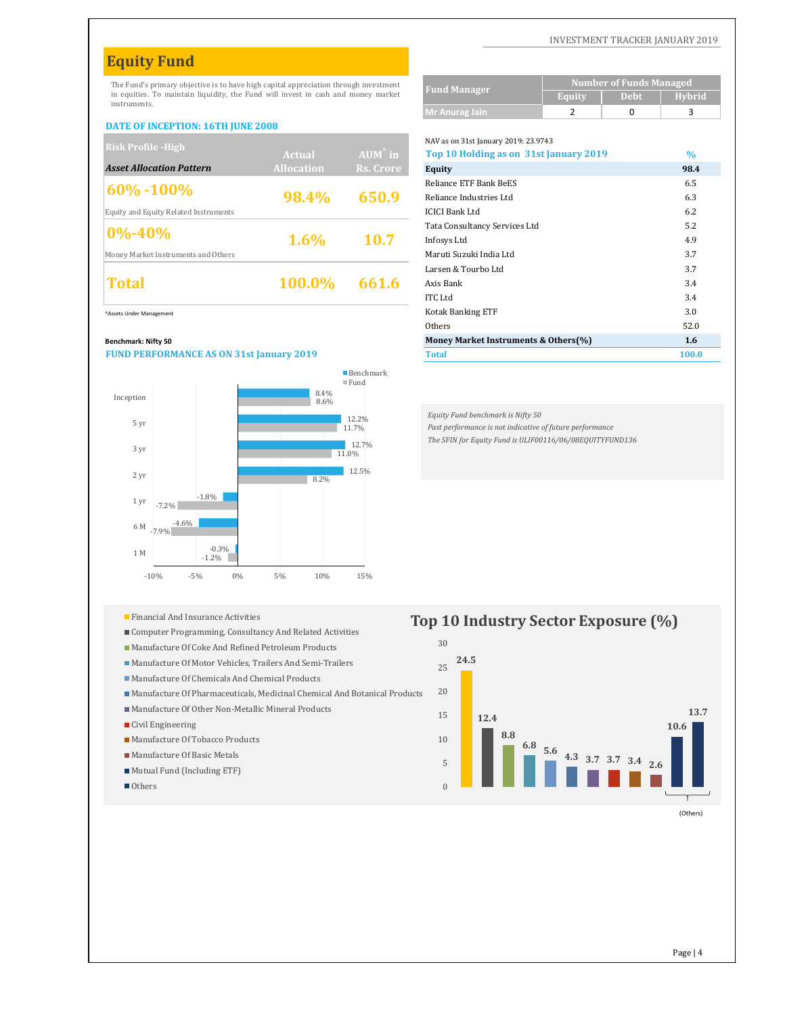# **Equity Fund**

The Fund's primary objective is to have high capital appreciation through investment in equities. To maintain liquidity, the Fund will invest in cash and money market instruments.

#### **DATE OF INCEPTION: 16TH JUNE 2008**

| <b>Risk Profile - High</b>            |                   |                   | NAV as on 31st January 2019: 23.9743                        |                  |
|---------------------------------------|-------------------|-------------------|-------------------------------------------------------------|------------------|
|                                       | <b>Actual</b>     | $AUM^{\hat{}}$ in | Top 10 Holding as on 31st January 2019                      | $\frac{0}{0}$    |
| <b>Asset Allocation Pattern</b>       | <b>Allocation</b> | Rs. Crore         | Equity                                                      | 98.4             |
| $\frac{160\% - 100\%}{100\%}$         |                   |                   | Reliance ETF Bank BeES                                      | 6.5              |
|                                       | 98.4%             | 650.9             | Reliance Industries Ltd                                     | 6.3              |
| Equity and Equity Related Instruments |                   |                   | <b>ICICI Bank Ltd</b>                                       | 6.2              |
|                                       |                   |                   | Tata Consultancy Services Ltd                               | 5.2              |
| $0\% - 40\%$                          | $1.6\%$           | 10.7              | Infosys Ltd                                                 | 4.9              |
| Money Market Instruments and Others   |                   |                   | Maruti Suzuki India Ltd                                     | 3.7              |
|                                       |                   |                   | Larsen & Tourbo Ltd                                         | 3.7              |
| Total                                 | 100.0%            | 661.6             | Axis Bank                                                   | 3.4              |
|                                       |                   |                   | $T_{\rm T}$ $T_{\rm T}$ $T_{\rm T}$ $T_{\rm T}$ $T_{\rm T}$ | $\sim$ $\lambda$ |

#### **Benchmark: Nifty 50**



|  |  |  |  | Financial And Insurance Activities |  |
|--|--|--|--|------------------------------------|--|
|--|--|--|--|------------------------------------|--|

- Computer Programming, Consultancy And Related Activities
- Manufacture Of Coke And Refined Petroleum Products
- Manufacture Of Motor Vehicles, Trailers And Semi-Trailers
- Manufacture Of Chemicals And Chemical Products
- Manufacture Of Pharmaceuticals, Medicinal Chemical And Botanical Products
- Manufacture Of Other Non-Metallic Mineral Products
- Civil Engineering
- Manufacture Of Tobacco Products
- Manufacture Of Basic Metals
- Mutual Fund (Including ETF)
- Others

#### INVESTMENT TRACKER JANUARY 2019

|                     | <b>Number of Funds Managed</b> |             |               |  |  |
|---------------------|--------------------------------|-------------|---------------|--|--|
| <b>Fund Manager</b> | Equity                         | <b>Debt</b> | <b>Hybrid</b> |  |  |
| Mr Anurag Jain      |                                |             |               |  |  |

NAV as on 31st January 2019: 23.9743

| KISK Profile -High                              | Actual            | $AUM^{\hat{}}$ in | Top 10 Holding as on 31st January 2019 | $\frac{0}{0}$ |
|-------------------------------------------------|-------------------|-------------------|----------------------------------------|---------------|
| <b>Asset Allocation Pattern</b>                 | <b>Allocation</b> | Rs. Crore         | <b>Equity</b>                          | 98.4          |
| $60\% - 100\%$                                  |                   |                   | Reliance ETF Bank BeES                 | 6.5           |
|                                                 | 98.4%             | 650.9             | Reliance Industries Ltd                | 6.3           |
| Equity and Equity Related Instruments           |                   |                   | <b>ICICI Bank Ltd</b>                  | 6.2           |
| $0\% - 40\%$                                    |                   |                   | Tata Consultancy Services Ltd          | 5.2           |
|                                                 | 1.6%              | <b>10.7</b>       | Infosys Ltd                            | 4.9           |
| Money Market Instruments and Others             |                   |                   | Maruti Suzuki India Ltd                | 3.7           |
|                                                 |                   | 661.6             | Larsen & Tourbo Ltd                    | 3.7           |
| <b>Total</b>                                    | <b>100.0%</b>     |                   | Axis Bank                              | 3.4           |
|                                                 |                   |                   | <b>ITC</b> Ltd                         | 3.4           |
| Assets Under Management                         |                   |                   | Kotak Banking ETF                      | 3.0           |
|                                                 |                   |                   | Others                                 | 52.0          |
| Benchmark: Nifty 50                             |                   |                   | Money Market Instruments & Others(%)   | 1.6           |
| <b>FUND PERFORMANCE AS ON 31st January 2019</b> |                   |                   | <b>Total</b>                           | 100.0         |

*Equity Fund benchmark is Nifty 50*

*Past performance is not indicative of future performance*

*The SFIN for Equity Fund is ULIF00116/06/08EQUITYFUND136*

#### **24.5 12.4 8.8 6.8 5.6 4.3 3.7 3.7 3.4 2.6 10.6 13.7**  $\Omega$ 5 10 15 20 25 30 **Top 10 Industry Sector Exposure (%)**

(Others)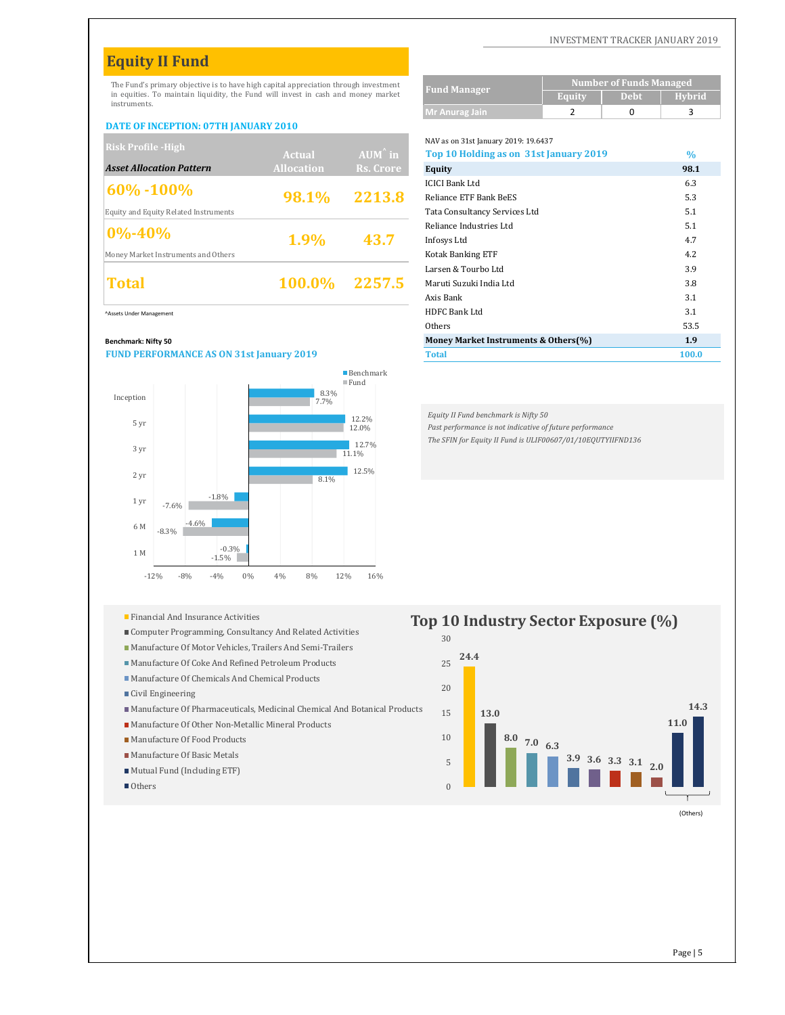# **Equity II Fund**

The Fund's primary objective is to have high capital appreciation through investment in equities. To maintain liquidity, the Fund will invest in cash and money market instruments.

#### **DATE OF INCEPTION: 07TH JANUARY 2010**

| <b>Risk Profile - High</b>            |                   |                   | NAV as on 31st January 2019: 19.6437   |               |
|---------------------------------------|-------------------|-------------------|----------------------------------------|---------------|
|                                       | <b>Actual</b>     | $AUM^{\hat{}}$ in | Top 10 Holding as on 31st January 2019 | $\frac{0}{0}$ |
| <b>Asset Allocation Pattern</b>       | <b>Allocation</b> | Rs. Crore         | Equity                                 | 98.1          |
|                                       |                   |                   | <b>ICICI Bank Ltd</b>                  | 6.3           |
| $\frac{160\% - 100\%}{100\%}$         | 98.1%             | 2213.8            | Reliance ETF Bank BeES                 | 5.3           |
| Equity and Equity Related Instruments |                   |                   | Tata Consultancy Services Ltd          | 5.1           |
| $0\% - 40\%$                          |                   | 43.7              | Reliance Industries Ltd                | 5.1           |
|                                       | 1.9%              |                   | Infosys Ltd                            | 4.7           |
| Money Market Instruments and Others   |                   |                   | <b>Kotak Banking ETF</b>               | 4.2           |
| Total                                 |                   |                   | Larsen & Tourbo Ltd                    | 3.9           |
|                                       | 100.0%            | 2257.5            | Maruti Suzuki India Ltd                | 3.8           |
|                                       |                   |                   |                                        |               |

#### **Benchmark: Nifty 50**

#### **FUND PERFORMANCE AS ON 31st January 2019**



- 
- Computer Programming, Consultancy And Related Activities
- Manufacture Of Motor Vehicles, Trailers And Semi-Trailers
- Manufacture Of Coke And Refined Petroleum Products
- Manufacture Of Chemicals And Chemical Products
- Civil Engineering
- Manufacture Of Pharmaceuticals, Medicinal Chemical And Botanical Products
- Manufacture Of Other Non-Metallic Mineral Products
- Manufacture Of Food Products
- Manufacture Of Basic Metals
- Mutual Fund (Including ETF)
- Others

#### INVESTMENT TRACKER JANUARY 2019

|                     | <b>Number of Funds Managed</b> |             |               |  |  |
|---------------------|--------------------------------|-------------|---------------|--|--|
| <b>Fund Manager</b> | Equity                         | <b>Debt</b> | <b>Hybrid</b> |  |  |
| Mr Anurag Jain      |                                |             |               |  |  |

NAV as on 31st January 2019: 19.6437

| <b>NISK FTUHIC "HIEH</b>                        | Actual            | $AUM^{\hat{}}$ in | Top 10 Holding as on 31st January 2019 | $\frac{0}{0}$ |
|-------------------------------------------------|-------------------|-------------------|----------------------------------------|---------------|
| <b>Asset Allocation Pattern</b>                 | <b>Allocation</b> | Rs. Crore         | <b>Equity</b>                          | 98.1          |
| 60% - 100%                                      |                   |                   | <b>ICICI Bank Ltd</b>                  | 6.3           |
|                                                 | 98.1%             | 2213.8            | Reliance ETF Bank BeES                 | 5.3           |
| Equity and Equity Related Instruments           |                   |                   | Tata Consultancy Services Ltd          | 5.1           |
| $0\% - 40\%$                                    |                   |                   | Reliance Industries Ltd                | 5.1           |
|                                                 | 1.9%              | 43.7              | Infosys Ltd                            | 4.7           |
| Money Market Instruments and Others             |                   |                   | <b>Kotak Banking ETF</b>               | 4.2           |
|                                                 | 100.0%            | 2257.5            | Larsen & Tourbo Ltd                    | 3.9           |
| <b>Total</b>                                    |                   |                   | Maruti Suzuki India Ltd                | 3.8           |
|                                                 |                   |                   | Axis Bank                              | 3.1           |
| Assets Under Management                         |                   |                   | HDFC Bank Ltd                          | 3.1           |
|                                                 |                   |                   | Others                                 | 53.5          |
| Benchmark: Nifty 50                             |                   |                   | Money Market Instruments & Others(%)   | 1.9           |
| <b>FUND PERFORMANCE AS ON 31st January 2019</b> |                   |                   | <b>Total</b>                           | 100.0         |

*Equity II Fund benchmark is Nifty 50*

*Past performance is not indicative of future performance*

*The SFIN for Equity II Fund is ULIF00607/01/10EQUTYIIFND136*

#### **24.4 13.0 8.0 7.0 6.3 3.9 3.6 3.3 3.1 2.0 11.0 14.3**  $\theta$ 5 10 15 20 25 30 **Top 10 Industry Sector Exposure**  $(\%)$

(Others)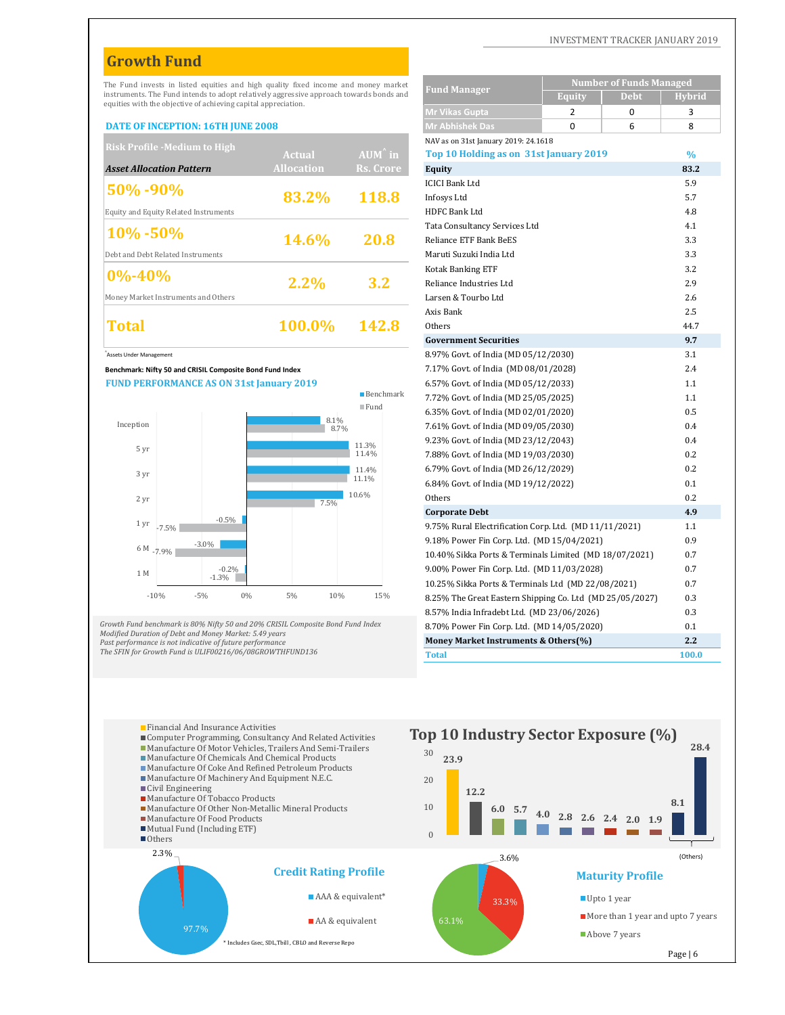## **Growth Fund**

#### **DATE OF INCEPTION: 16TH JUNE 2008**

| <b>Risk Profile -Medium to High</b>   |                   |                   | NAV as on 31st January 2019: 24.1618   |               |
|---------------------------------------|-------------------|-------------------|----------------------------------------|---------------|
|                                       | Actual            | $AUM^{\wedge}$ in | Top 10 Holding as on 31st January 2019 | $\frac{0}{0}$ |
| <b>Asset Allocation Pattern</b>       | <b>Allocation</b> | Rs. Crore         | Equity                                 | 83.2          |
|                                       |                   |                   | <b>ICICI Bank Ltd</b>                  | 5.9           |
| $ 50\% - 90\%$                        | 83.2%             | 118.8             | Infosys Ltd                            | 5.7           |
| Equity and Equity Related Instruments |                   |                   | <b>HDFC Bank Ltd</b>                   | 4.8           |
| $10\% - 50\%$                         |                   |                   | Tata Consultancy Services Ltd          | 4.1           |
|                                       | 14.6%             | 20.8              | Reliance ETF Bank BeES                 | 3.3           |
| Debt and Debt Related Instruments     |                   |                   | Maruti Suzuki India Ltd                | 3.3           |
| $ 0\% - 40\%$                         |                   |                   | <b>Kotak Banking ETF</b>               | 3.2           |
|                                       | 2.2%              | 3.2               | Reliance Industries Ltd                | 2.9           |
| Money Market Instruments and Others   |                   |                   | Larsen & Tourbo Ltd                    | 2.6           |
|                                       |                   |                   | Axis Bank                              | 2.5           |
| Total                                 | <b>100.0%</b>     | <b>142.8</b>      | Others                                 | 44.7          |
|                                       |                   |                   |                                        |               |



| The Fund invests in listed equities and high quality fixed income and money market                                |                |                   |                     |                                                                              | <b>Number of Funds Managed</b> |               |
|-------------------------------------------------------------------------------------------------------------------|----------------|-------------------|---------------------|------------------------------------------------------------------------------|--------------------------------|---------------|
| instruments. The Fund intends to adopt relatively aggressive approach towards bonds and                           |                |                   |                     | <b>Fund Manager</b>                                                          | <b>Debt</b><br><b>Equity</b>   | <b>Hybrid</b> |
| equities with the objective of achieving capital appreciation.                                                    |                |                   |                     | <b>Mr Vikas Gupta</b>                                                        | $\overline{2}$<br>$\Omega$     | 3             |
| DATE OF INCEPTION: 16TH JUNE 2008                                                                                 |                |                   |                     | <b>Mr Abhishek Das</b>                                                       | $\Omega$<br>6                  | 8             |
| <b>Risk Profile -Medium to High</b>                                                                               |                |                   |                     | NAV as on 31st January 2019: 24.1618                                         |                                |               |
|                                                                                                                   |                | <b>Actual</b>     | AUM <sup>^</sup> in | Top 10 Holding as on 31st January 2019                                       |                                | $\%$          |
| <b>Asset Allocation Pattern</b>                                                                                   |                | <b>Allocation</b> | Rs. Crore           | Equity                                                                       |                                | 83.2          |
| 50%-90%                                                                                                           |                |                   |                     | <b>ICICI Bank Ltd</b>                                                        |                                | 5.9           |
|                                                                                                                   |                | 83.2%             | 118.8               | Infosys Ltd                                                                  |                                | 5.7           |
| <b>Equity and Equity Related Instruments</b>                                                                      |                |                   |                     | HDFC Bank Ltd                                                                |                                | 4.8           |
| $10\% - 50\%$                                                                                                     |                |                   |                     | Tata Consultancy Services Ltd                                                |                                | 4.1           |
|                                                                                                                   |                | 14.6%             | 20.8                | Reliance ETF Bank BeES                                                       |                                | 3.3           |
| Debt and Debt Related Instruments                                                                                 |                |                   |                     | Maruti Suzuki India Ltd                                                      |                                | 3.3           |
| $0\% - 40\%$                                                                                                      |                |                   |                     | <b>Kotak Banking ETF</b>                                                     |                                | 3.2           |
|                                                                                                                   |                | 2.2%              | 3.2                 | Reliance Industries Ltd                                                      |                                | 2.9           |
| Money Market Instruments and Others                                                                               |                |                   |                     | Larsen & Tourbo Ltd                                                          |                                | 2.6           |
|                                                                                                                   |                |                   |                     | Axis Bank                                                                    |                                | 2.5           |
| Total                                                                                                             |                | 100.0%            | 142.8               | Others                                                                       |                                | 44.7          |
|                                                                                                                   |                |                   |                     | <b>Government Securities</b>                                                 |                                | 9.7           |
| Assets Under Management                                                                                           |                |                   |                     | 8.97% Govt. of India (MD 05/12/2030)                                         |                                | 3.1<br>2.4    |
| Benchmark: Nifty 50 and CRISIL Composite Bond Fund Index<br><b>FUND PERFORMANCE AS ON 31st January 2019</b>       |                |                   |                     | 7.17% Govt. of India (MD 08/01/2028)                                         |                                | 1.1           |
|                                                                                                                   |                |                   | <b>Benchmark</b>    | 6.57% Govt. of India (MD 05/12/2033)<br>7.72% Govt. of India (MD 25/05/2025) |                                | 1.1           |
|                                                                                                                   |                |                   | $\blacksquare$ Fund |                                                                              |                                | 0.5           |
| Inception                                                                                                         |                | 8.1%              |                     | 6.35% Govt. of India (MD 02/01/2020)<br>7.61% Govt. of India (MD 09/05/2030) |                                | 0.4           |
|                                                                                                                   |                | 8.7%              |                     | 9.23% Govt. of India (MD 23/12/2043)                                         |                                | 0.4           |
| 5 yr                                                                                                              |                |                   | 11.3%<br>11.4%      | 7.88% Govt. of India (MD 19/03/2030)                                         |                                | 0.2           |
|                                                                                                                   |                |                   | 11.4%               | 6.79% Govt. of India (MD 26/12/2029)                                         |                                | 0.2           |
| 3 yr                                                                                                              |                |                   | 11.1%               | 6.84% Govt. of India (MD 19/12/2022)                                         |                                | 0.1           |
| 2 yr                                                                                                              |                |                   | 10.6%               | Others                                                                       |                                | 0.2           |
|                                                                                                                   |                | 7.5%              |                     | <b>Corporate Debt</b>                                                        |                                | 4.9           |
| 1 yr<br>$-7.5%$                                                                                                   | $-0.5%$        |                   |                     | 9.75% Rural Electrification Corp. Ltd. (MD 11/11/2021)                       |                                | 1.1           |
|                                                                                                                   |                |                   |                     | 9.18% Power Fin Corp. Ltd. (MD 15/04/2021)                                   |                                | 0.9           |
| 6 M $-7.9\%$                                                                                                      | $-3.0\%$       |                   |                     | 10.40% Sikka Ports & Terminals Limited (MD 18/07/2021)                       |                                | 0.7           |
|                                                                                                                   | $-0.2%$        |                   |                     | 9.00% Power Fin Corp. Ltd. (MD 11/03/2028)                                   |                                | 0.7           |
| 1 M                                                                                                               | $-1.3%$        |                   |                     | 10.25% Sikka Ports & Terminals Ltd (MD 22/08/2021)                           |                                | 0.7           |
| $-10%$                                                                                                            | $-5%$<br>$0\%$ | 5%<br>10%         | 15%                 | 8.25% The Great Eastern Shipping Co. Ltd (MD 25/05/2027)                     |                                | 0.3           |
|                                                                                                                   |                |                   |                     | 8.57% India Infradebt Ltd. (MD 23/06/2026)                                   |                                | 0.3           |
| rowth Fund benchmark is 80% Nifty 50 and 20% CRISIL Composite Bond Fund Index                                     |                |                   |                     | 8.70% Power Fin Corp. Ltd. (MD 14/05/2020)                                   |                                | 0.1           |
| lodified Duration of Debt and Money Market: 5.49 years<br>ast performance is not indicative of future performance |                |                   |                     | Money Market Instruments & Others(%)                                         |                                | 2.2           |
| he SFIN for Growth Fund is ULIF00216/06/08GROWTHFUND136                                                           |                |                   |                     | <b>Total</b>                                                                 |                                | 100.0         |

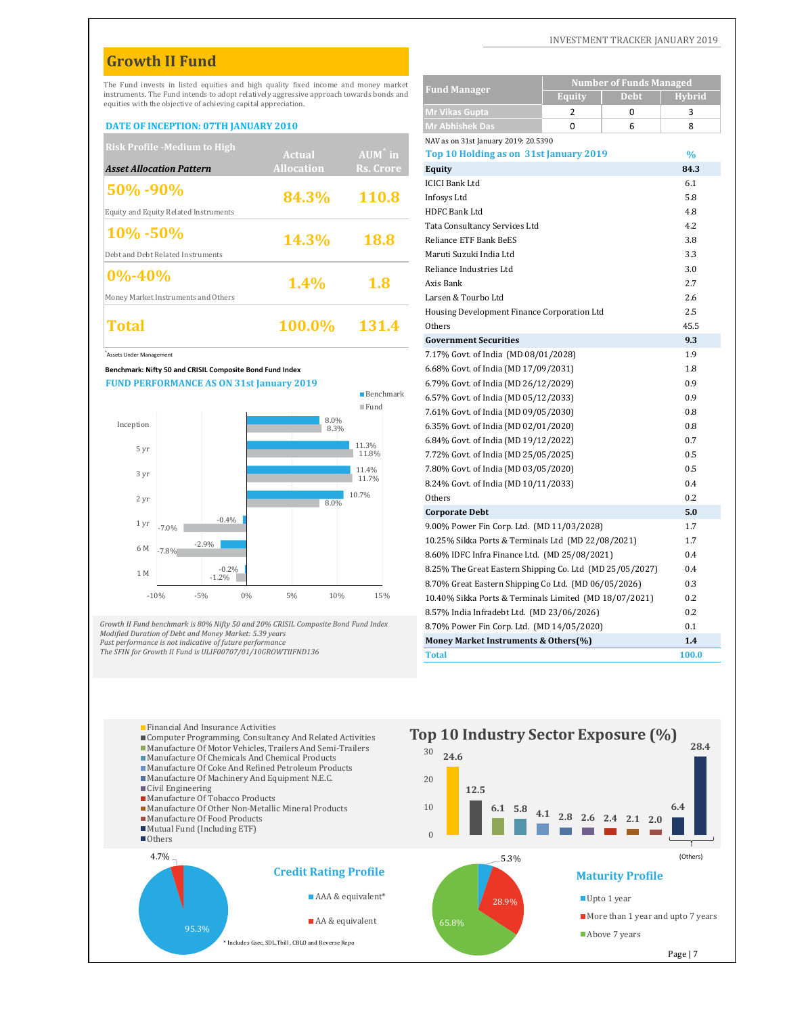# **Growth II Fund**

#### **DATE OF INCEPTION: 07TH JANUARY 2010**

| <b>Risk Profile -Medium to High</b>   |                   |                   | NAV as on 31st January 2019: 20.5390        |               |
|---------------------------------------|-------------------|-------------------|---------------------------------------------|---------------|
|                                       | Actual            | $AUM^{\wedge}$ in | Top 10 Holding as on 31st January 2019      | $\frac{0}{0}$ |
| <b>Asset Allocation Pattern</b>       | <b>Allocation</b> | Rs. Crore         | Equity                                      | 84.3          |
|                                       |                   |                   | <b>ICICI Bank Ltd</b>                       | 6.1           |
| $ 50\% - 90\%$                        | 84.3%             | 110.8             | Infosys Ltd                                 | 5.8           |
| Equity and Equity Related Instruments |                   |                   | <b>HDFC Bank Ltd</b>                        | 4.8           |
| $10\% - 50\%$                         |                   |                   | Tata Consultancy Services Ltd               | 4.2           |
|                                       | 14.3%             | <b>18.8</b>       | Reliance ETF Bank BeES                      | 3.8           |
| Debt and Debt Related Instruments     |                   |                   | Maruti Suzuki India Ltd                     | 3.3           |
| $ 0\% - 40\%$                         |                   |                   | Reliance Industries Ltd                     | 3.0           |
|                                       | 1.4%              | <b>1.8</b>        | Axis Bank                                   | 2.7           |
| Money Market Instruments and Others   |                   |                   | Larsen & Tourbo Ltd                         | 2.6           |
|                                       |                   |                   | Housing Development Finance Corporation Ltd | 2.5           |
| Total                                 | <b>100.0%</b>     | 131.4             | Others                                      | 45.5          |
|                                       |                   |                   |                                             |               |



|                                                                                                                       |             | The Fund invests in listed equities and high quality fixed income and money market<br>instruments. The Fund intends to adopt relatively aggressive approach towards bonds and |                     | <b>Fund Manager</b>                                                          | <b>Number of Funds Managed</b>                           |               |
|-----------------------------------------------------------------------------------------------------------------------|-------------|-------------------------------------------------------------------------------------------------------------------------------------------------------------------------------|---------------------|------------------------------------------------------------------------------|----------------------------------------------------------|---------------|
| equities with the objective of achieving capital appreciation.                                                        |             |                                                                                                                                                                               |                     |                                                                              | <b>Debt</b><br><b>Equity</b>                             | <b>Hybrid</b> |
|                                                                                                                       |             |                                                                                                                                                                               |                     | <b>Mr Vikas Gupta</b>                                                        | 2<br>$\Omega$                                            | 3             |
| <b>DATE OF INCEPTION: 07TH JANUARY 2010</b>                                                                           |             |                                                                                                                                                                               |                     | <b>Mr Abhishek Das</b>                                                       | 0<br>6                                                   | 8             |
| <b>Risk Profile -Medium to High</b>                                                                                   |             |                                                                                                                                                                               |                     | NAV as on 31st January 2019: 20.5390                                         |                                                          |               |
|                                                                                                                       |             | <b>Actual</b>                                                                                                                                                                 | AUM <sup>^</sup> in | Top 10 Holding as on 31st January 2019                                       |                                                          | $\frac{0}{0}$ |
| <b>Asset Allocation Pattern</b>                                                                                       |             | <b>Allocation</b>                                                                                                                                                             | <b>Rs. Crore</b>    | <b>Equity</b>                                                                |                                                          | 84.3          |
| 50% -90%                                                                                                              |             |                                                                                                                                                                               |                     | <b>ICICI Bank Ltd</b>                                                        |                                                          | 6.1           |
|                                                                                                                       |             | 84.3%                                                                                                                                                                         | 110.8               | Infosys Ltd                                                                  |                                                          | 5.8           |
| <b>Equity and Equity Related Instruments</b>                                                                          |             |                                                                                                                                                                               |                     | HDFC Bank Ltd                                                                |                                                          | 4.8           |
| 10%-50%                                                                                                               |             |                                                                                                                                                                               |                     | Tata Consultancy Services Ltd                                                |                                                          | 4.2           |
|                                                                                                                       |             | 14.3%                                                                                                                                                                         | 18.8                | <b>Reliance ETF Bank BeES</b>                                                |                                                          | 3.8           |
| Debt and Debt Related Instruments                                                                                     |             |                                                                                                                                                                               |                     | Maruti Suzuki India Ltd                                                      |                                                          | 3.3           |
| $0\% - 40\%$                                                                                                          |             |                                                                                                                                                                               |                     | Reliance Industries Ltd                                                      |                                                          | 3.0           |
|                                                                                                                       |             | 1.4%                                                                                                                                                                          | 1.8                 | Axis Bank                                                                    |                                                          | 2.7           |
| Money Market Instruments and Others                                                                                   |             |                                                                                                                                                                               |                     | Larsen & Tourbo Ltd                                                          |                                                          | 2.6           |
|                                                                                                                       |             |                                                                                                                                                                               |                     | Housing Development Finance Corporation Ltd                                  |                                                          | 2.5           |
| Total                                                                                                                 |             | 100.0%                                                                                                                                                                        | 131.4               | Others                                                                       |                                                          | 45.5<br>9.3   |
|                                                                                                                       |             |                                                                                                                                                                               |                     | <b>Government Securities</b>                                                 |                                                          |               |
| Assets Under Management                                                                                               |             |                                                                                                                                                                               |                     | 7.17% Govt. of India (MD 08/01/2028)                                         |                                                          | 1.9           |
| Benchmark: Nifty 50 and CRISIL Composite Bond Fund Index                                                              |             |                                                                                                                                                                               |                     | 6.68% Govt. of India (MD 17/09/2031)                                         |                                                          | 1.8<br>0.9    |
| <b>FUND PERFORMANCE AS ON 31st January 2019</b>                                                                       |             |                                                                                                                                                                               | <b>Benchmark</b>    | 6.79% Govt. of India (MD 26/12/2029)<br>6.57% Govt. of India (MD 05/12/2033) |                                                          | 0.9           |
|                                                                                                                       |             |                                                                                                                                                                               | $\blacksquare$ Fund |                                                                              |                                                          | 0.8           |
| Inception                                                                                                             |             | 8.0%                                                                                                                                                                          |                     | 7.61% Govt. of India (MD 09/05/2030)                                         |                                                          | 0.8           |
|                                                                                                                       |             | 8.3%                                                                                                                                                                          |                     | 6.35% Govt. of India (MD 02/01/2020)                                         |                                                          | 0.7           |
| 5 yr                                                                                                                  |             |                                                                                                                                                                               | 11.3%<br>11.8%      | 6.84% Govt. of India (MD 19/12/2022)<br>7.72% Govt. of India (MD 25/05/2025) |                                                          | 0.5           |
|                                                                                                                       |             |                                                                                                                                                                               |                     | 7.80% Govt. of India (MD 03/05/2020)                                         |                                                          | 0.5           |
| 3 yr                                                                                                                  |             |                                                                                                                                                                               | 11.4%<br>11.7%      | 8.24% Govt. of India (MD 10/11/2033)                                         |                                                          | 0.4           |
|                                                                                                                       |             |                                                                                                                                                                               | 10.7%               | Others                                                                       |                                                          | 0.2           |
| 2 yr                                                                                                                  |             | 8.0%                                                                                                                                                                          |                     | <b>Corporate Debt</b>                                                        |                                                          | 5.0           |
| 1 yr                                                                                                                  | $-0.4%$     |                                                                                                                                                                               |                     | 9.00% Power Fin Corp. Ltd. (MD 11/03/2028)                                   |                                                          | 1.7           |
| $-7.0%$                                                                                                               |             |                                                                                                                                                                               |                     | 10.25% Sikka Ports & Terminals Ltd (MD 22/08/2021)                           |                                                          | 1.7           |
| 6 M - 7.8%                                                                                                            | $-2.9\%$    |                                                                                                                                                                               |                     | 8.60% IDFC Infra Finance Ltd. (MD 25/08/2021)                                |                                                          | 0.4           |
|                                                                                                                       | $-0.2%$     |                                                                                                                                                                               |                     |                                                                              | 8.25% The Great Eastern Shipping Co. Ltd (MD 25/05/2027) | 0.4           |
| 1 M                                                                                                                   | $-1.2\%$    |                                                                                                                                                                               |                     | 8.70% Great Eastern Shipping Co Ltd. (MD 06/05/2026)                         |                                                          | 0.3           |
| $-10%$                                                                                                                | 0%<br>$-5%$ | $5\%$<br>10%                                                                                                                                                                  | 15%                 |                                                                              | 10.40% Sikka Ports & Terminals Limited (MD 18/07/2021)   | 0.2           |
|                                                                                                                       |             |                                                                                                                                                                               |                     | 8.57% India Infradebt Ltd. (MD 23/06/2026)                                   |                                                          | 0.2           |
|                                                                                                                       |             | rowth II Fund benchmark is 80% Nifty 50 and 20% CRISIL Composite Bond Fund Index                                                                                              |                     | 8.70% Power Fin Corp. Ltd. (MD 14/05/2020)                                   |                                                          | 0.1           |
| lodified Duration of Debt and Money Market: 5.39 years                                                                |             |                                                                                                                                                                               |                     | Money Market Instruments & Others(%)                                         |                                                          | 1.4           |
| ast performance is not indicative of future performance<br>he SFIN for Growth II Fund is ULIF00707/01/10GROWTIIFND136 |             |                                                                                                                                                                               |                     | <b>Total</b>                                                                 |                                                          | 100.0         |
|                                                                                                                       |             |                                                                                                                                                                               |                     |                                                                              |                                                          |               |

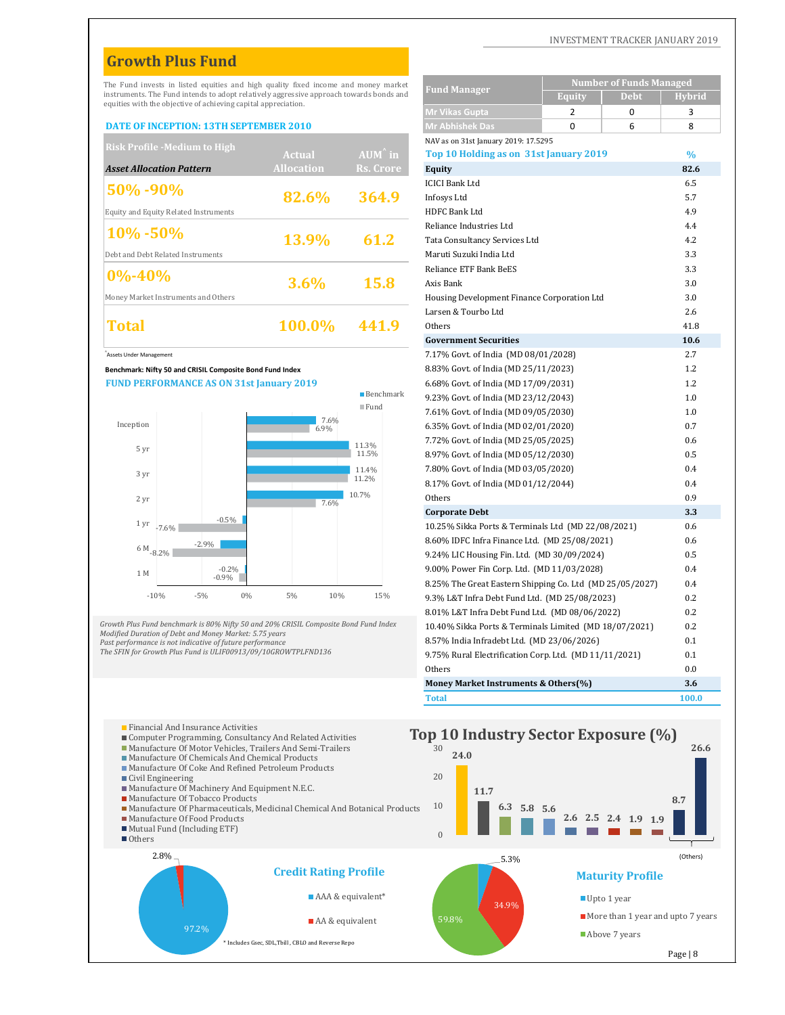# **Growth Plus Fund**

#### **DATE OF INCEPTION: 13TH SEPTEMBER 2010**

| <b>Risk Profile -Medium to High</b>   |                   |                   | NAV as on 31st January 2019: 17.5295        |      |
|---------------------------------------|-------------------|-------------------|---------------------------------------------|------|
|                                       | <b>Actual</b>     | $AUM^{\wedge}$ in | Top 10 Holding as on 31st January 2019      | $\%$ |
| <b>Asset Allocation Pattern</b>       | <b>Allocation</b> | Rs. Crore         | Equity                                      | 82.6 |
|                                       |                   |                   | <b>ICICI Bank Ltd</b>                       | 6.5  |
| 50% -90%                              | 82.6%             | 364.9             | Infosys Ltd                                 | 5.7  |
| Equity and Equity Related Instruments |                   |                   | <b>HDFC Bank Ltd</b>                        | 4.9  |
| $10\% - 50\%$                         |                   |                   | Reliance Industries Ltd                     | 4.4  |
|                                       | <b>13.9%</b>      | 61.2              | Tata Consultancy Services Ltd               | 4.2  |
| Debt and Debt Related Instruments     |                   |                   | Maruti Suzuki India Ltd                     | 3.3  |
|                                       |                   |                   | Reliance ETF Bank BeES                      | 3.3  |
| $ 0\% - 40\%$                         | $3.6\%$           | <b>15.8</b>       | Axis Bank                                   | 3.0  |
| Money Market Instruments and Others   |                   |                   | Housing Development Finance Corporation Ltd | 3.0  |
|                                       |                   |                   | Larsen & Tourbo Ltd                         | 2.6  |
| Total                                 | 100.0%            | 441.9             | Others                                      | 41.8 |
|                                       |                   |                   |                                             |      |



2.8%

■ Others

Mutual Fund (Including ETF)

Civil Engineering

| The Fund invests in listed equities and high quality fixed income and money market                                                                        |                    |    |                   |              |                          | <b>Fund Manager</b>                                      |                | <b>Number of Funds Managed</b> |            |
|-----------------------------------------------------------------------------------------------------------------------------------------------------------|--------------------|----|-------------------|--------------|--------------------------|----------------------------------------------------------|----------------|--------------------------------|------------|
| instruments. The Fund intends to adopt relatively aggressive approach towards bonds and<br>equities with the objective of achieving capital appreciation. |                    |    |                   |              |                          |                                                          | <b>Equity</b>  | Debt                           | Hvbrid     |
|                                                                                                                                                           |                    |    |                   |              |                          | <b>Mr Vikas Gupta</b>                                    | $\overline{2}$ | 0                              | 3          |
| <b>DATE OF INCEPTION: 13TH SEPTEMBER 2010</b>                                                                                                             |                    |    |                   |              |                          | <b>Mr Abhishek Das</b>                                   | 0              | 6                              | 8          |
| <b>Risk Profile -Medium to High</b>                                                                                                                       |                    |    |                   |              |                          | NAV as on 31st January 2019: 17.5295                     |                |                                |            |
|                                                                                                                                                           |                    |    | <b>Actual</b>     |              | $AUM^{\wedge}$ in        | Top 10 Holding as on 31st January 2019                   |                |                                | $\%$       |
| <b>Asset Allocation Pattern</b>                                                                                                                           |                    |    | <b>Allocation</b> |              | <b>Rs. Crore</b>         | Equity                                                   |                |                                | 82.6       |
| 50%-90%                                                                                                                                                   |                    |    |                   |              |                          | <b>ICICI Bank Ltd</b>                                    |                |                                | 6.5        |
|                                                                                                                                                           |                    |    | 82.6%             |              | 364.9                    | Infosys Ltd                                              |                |                                | 5.7        |
| <b>Equity and Equity Related Instruments</b>                                                                                                              |                    |    |                   |              |                          | HDFC Bank Ltd                                            |                |                                | 4.9        |
| 10% -50%                                                                                                                                                  |                    |    | 13.9%             |              | 61.2                     | Reliance Industries Ltd                                  |                |                                | 4.4<br>4.2 |
|                                                                                                                                                           |                    |    |                   |              |                          | Tata Consultancy Services Ltd<br>Maruti Suzuki India Ltd |                |                                | 3.3        |
| Debt and Debt Related Instruments                                                                                                                         |                    |    |                   |              |                          | Reliance ETF Bank BeES                                   |                |                                | 3.3        |
| $0\% - 40\%$                                                                                                                                              |                    |    | 3.6%              |              | 15.8                     | Axis Bank                                                |                |                                | 3.0        |
| Money Market Instruments and Others                                                                                                                       |                    |    |                   |              |                          | Housing Development Finance Corporation Ltd              |                |                                | 3.0        |
|                                                                                                                                                           |                    |    |                   |              |                          | Larsen & Tourbo Ltd                                      |                |                                | 2.6        |
| Total                                                                                                                                                     |                    |    | 100.0%            |              | 441.9                    | Others                                                   |                |                                | 41.8       |
|                                                                                                                                                           |                    |    |                   |              |                          | <b>Government Securities</b>                             |                |                                | 10.6       |
| Assets Under Management                                                                                                                                   |                    |    |                   |              |                          | 7.17% Govt. of India (MD 08/01/2028)                     |                |                                | 2.7        |
| Benchmark: Nifty 50 and CRISIL Composite Bond Fund Index                                                                                                  |                    |    |                   |              |                          | 8.83% Govt. of India (MD 25/11/2023)                     |                |                                | 1.2        |
| <b>FUND PERFORMANCE AS ON 31st January 2019</b>                                                                                                           |                    |    |                   |              |                          | 6.68% Govt. of India (MD 17/09/2031)                     |                |                                | 1.2        |
|                                                                                                                                                           |                    |    |                   |              | $\blacksquare$ Benchmark | 9.23% Govt. of India (MD 23/12/2043)                     |                |                                | 1.0        |
|                                                                                                                                                           |                    |    |                   |              | $\blacksquare$ Fund      | 7.61% Govt. of India (MD 09/05/2030)                     |                |                                | 1.0        |
| Inception                                                                                                                                                 |                    |    |                   | 7.6%<br>6.9% |                          | 6.35% Govt. of India (MD 02/01/2020)                     |                |                                | 0.7        |
|                                                                                                                                                           |                    |    |                   |              | 11.3%                    | 7.72% Govt. of India (MD 25/05/2025)                     |                |                                | 0.6        |
| 5 yr                                                                                                                                                      |                    |    |                   |              | 11.5%                    | 8.97% Govt. of India (MD 05/12/2030)                     |                |                                | 0.5        |
| 3 yr                                                                                                                                                      |                    |    |                   |              | 11.4%                    | 7.80% Govt. of India (MD 03/05/2020)                     |                |                                | 0.4        |
|                                                                                                                                                           |                    |    |                   |              | 11.2%                    | 8.17% Govt. of India (MD 01/12/2044)                     |                |                                | 0.4        |
| 2 yr                                                                                                                                                      |                    |    |                   | 7.6%         | 10.7%                    | Others                                                   |                |                                | 0.9        |
|                                                                                                                                                           | $-0.5\%$           |    |                   |              |                          | <b>Corporate Debt</b>                                    |                |                                | 3.3        |
| 1 yr<br>$-7.6%$                                                                                                                                           |                    |    |                   |              |                          | 10.25% Sikka Ports & Terminals Ltd (MD 22/08/2021)       |                |                                | 0.6        |
| $6\;{\rm M}_{-8.2\%}$                                                                                                                                     | $-2.9\%$           |    |                   |              |                          | 8.60% IDFC Infra Finance Ltd. (MD 25/08/2021)            |                |                                | 0.6        |
|                                                                                                                                                           |                    |    |                   |              |                          | 9.24% LIC Housing Fin. Ltd. (MD 30/09/2024)              |                |                                | 0.5        |
| 1 M                                                                                                                                                       | $-0.2%$<br>$-0.9%$ |    |                   |              |                          | 9.00% Power Fin Corp. Ltd. (MD 11/03/2028)               |                |                                | 0.4        |
|                                                                                                                                                           |                    |    |                   |              |                          | 8.25% The Great Eastern Shipping Co. Ltd (MD 25/05/2027) |                |                                | 0.4        |
| $-10%$                                                                                                                                                    | $-5%$              | 0% | 5%                | 10%          | 15%                      | 9.3% L&T Infra Debt Fund Ltd. (MD 25/08/2023)            |                |                                | 0.2        |
|                                                                                                                                                           |                    |    |                   |              |                          | 8.01% L&T Infra Debt Fund Ltd. (MD 08/06/2022)           |                |                                | 0.2        |
| rowth Plus Fund benchmark is 80% Nifty 50 and 20% CRISIL Composite Bond Fund Index<br>lodified Duration of Debt and Money Market: 5.75 years              |                    |    |                   |              |                          | 10.40% Sikka Ports & Terminals Limited (MD 18/07/2021)   |                |                                | 0.2        |
| ast performance is not indicative of future performance<br>he SFIN for Growth Plus Fund is ULIF00913/09/10GROWTPLFND136                                   |                    |    |                   |              |                          | 8.57% India Infradebt Ltd. (MD 23/06/2026)               |                |                                | 0.1        |
|                                                                                                                                                           |                    |    |                   |              |                          | 9.75% Rural Electrification Corp. Ltd. (MD 11/11/2021)   |                |                                | 0.1        |
|                                                                                                                                                           |                    |    |                   |              |                          | Others                                                   |                |                                | 0.0        |
|                                                                                                                                                           |                    |    |                   |              |                          | Money Market Instruments & Others(%)                     |                |                                | 3.6        |

**Total 100.0** 

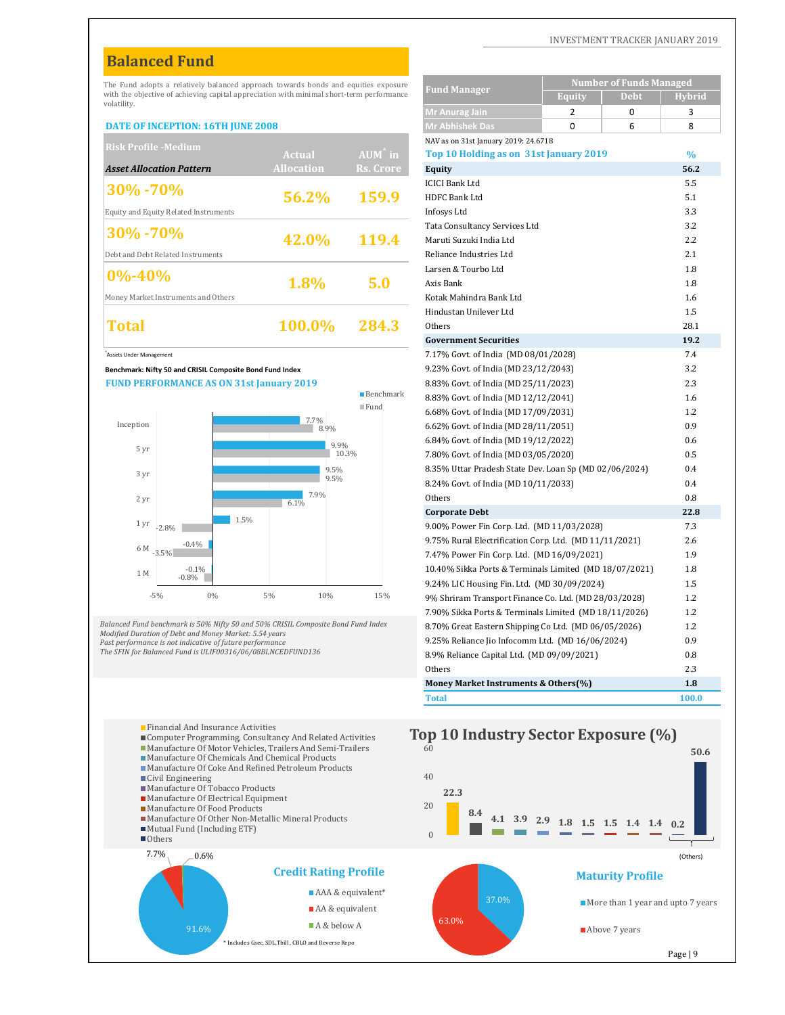# **Balanced Fund**

#### **DATE OF INCEPTION: 16TH JUNE 2008**

| <b>Risk Profile -Medium</b>           |                   |                   | NAV as on 31st January 2019: 24.6718   |               |
|---------------------------------------|-------------------|-------------------|----------------------------------------|---------------|
|                                       | <b>Actual</b>     | $AUM^{\wedge}$ in | Top 10 Holding as on 31st January 2019 | $\frac{0}{0}$ |
| <b>Asset Allocation Pattern</b>       | <b>Allocation</b> | Rs. Crore         | <b>Equity</b>                          | 56.2          |
| $ 30\% - 70\% $                       |                   |                   | <b>ICICI Bank Ltd</b>                  | 5.5           |
|                                       | 56.2%             | 159.9             | <b>HDFC Bank Ltd</b>                   | 5.1           |
| Equity and Equity Related Instruments |                   |                   | Infosys Ltd                            | 3.3           |
| $ 30\% - 70\% $                       |                   |                   | Tata Consultancy Services Ltd          | 3.2           |
|                                       | 42.0%             | 119.4             | Maruti Suzuki India Ltd                | 2.2           |
| Debt and Debt Related Instruments     |                   |                   | Reliance Industries Ltd                | 2.1           |
| $ 0\% - 40\%$                         |                   |                   | Larsen & Tourbo Ltd                    | 1.8           |
|                                       | 1.8%              | 5.0               | Axis Bank                              | 1.8           |
| Money Market Instruments and Others   |                   |                   | Kotak Mahindra Bank Ltd                | 1.6           |
|                                       |                   |                   | Hindustan Unilever Ltd                 | 1.5           |
| Total                                 | <b>100.0%</b>     | 284.3             | Others                                 | 28.1          |
|                                       |                   |                   |                                        |               |



Computer Programming, Consultancy And Related Activities Manufacture Of Motor Vehicles, Trailers And Semi-Trailers Manufacture Of Chemicals And Chemical Products Manufacture Of Coke And Refined Petroleum Products

Manufacture Of Tobacco Products **Manufacture Of Electrical Equipment Manufacture Of Food Products** 

Civil Engineering

Manufacture Of Other Non-Metallic Mineral Products

Mutual Fund (Including ETF)



20

40

60 **The Supersuan** And Insurance Activities<br> **Top 10 Industry Sector Exposure** (%)

**22.3**

#### INVESTMENT TRACKER JANUARY 2019

| The Fund adopts a relatively balanced approach towards bonds and equities exposure                                   |                   |                          | <b>Fund Manager</b>                                    | <b>Number of Funds Managed</b>                         |               |
|----------------------------------------------------------------------------------------------------------------------|-------------------|--------------------------|--------------------------------------------------------|--------------------------------------------------------|---------------|
| with the objective of achieving capital appreciation with minimal short-term performance<br>volatility.              |                   |                          |                                                        | <b>Equity</b><br>Debt                                  | <b>Hybrid</b> |
|                                                                                                                      |                   |                          | Mr Anurag Jain                                         | 2<br>0                                                 | 3             |
| <b>DATE OF INCEPTION: 16TH JUNE 2008</b>                                                                             |                   |                          | <b>Mr Abhishek Das</b>                                 | $\mathbf 0$<br>6                                       | 8             |
| <b>Risk Profile -Medium</b>                                                                                          |                   |                          | NAV as on 31st January 2019: 24.6718                   |                                                        |               |
|                                                                                                                      | <b>Actual</b>     | AUM in                   | Top 10 Holding as on 31st January 2019                 |                                                        | $\frac{0}{0}$ |
| <b>Asset Allocation Pattern</b>                                                                                      | <b>Allocation</b> | Rs. Crore                | Equity                                                 |                                                        | 56.2          |
| 30% - 70%                                                                                                            |                   |                          | <b>ICICI Bank Ltd</b>                                  |                                                        | 5.5           |
|                                                                                                                      | 56.2%             | 159.9                    | HDFC Bank Ltd                                          |                                                        | 5.1           |
| Equity and Equity Related Instruments                                                                                |                   |                          | Infosys Ltd                                            |                                                        | 3.3           |
| 30%-70%                                                                                                              |                   |                          | Tata Consultancy Services Ltd                          |                                                        | 3.2           |
|                                                                                                                      | 42.0%             | 119.4                    | Maruti Suzuki India Ltd                                |                                                        | 2.2           |
| Debt and Debt Related Instruments                                                                                    |                   |                          | Reliance Industries Ltd                                |                                                        | 2.1           |
| $0\% - 40\%$                                                                                                         | 1.8%              | 5.0                      | Larsen & Tourbo Ltd<br>Axis Bank                       |                                                        | 1.8<br>1.8    |
| Money Market Instruments and Others                                                                                  |                   |                          | Kotak Mahindra Bank Ltd                                |                                                        | 1.6           |
|                                                                                                                      |                   |                          | Hindustan Unilever Ltd                                 |                                                        | 1.5           |
| Total                                                                                                                | 100.0%            | 284.3                    | Others                                                 |                                                        | 28.1          |
|                                                                                                                      |                   |                          | <b>Government Securities</b>                           |                                                        | 19.2          |
| <b>Assets Under Management</b>                                                                                       |                   |                          | 7.17% Govt. of India (MD 08/01/2028)                   |                                                        | 7.4           |
| Benchmark: Nifty 50 and CRISIL Composite Bond Fund Index                                                             |                   |                          | 9.23% Govt. of India (MD 23/12/2043)                   |                                                        | 3.2           |
| <b>FUND PERFORMANCE AS ON 31st January 2019</b>                                                                      |                   |                          | 8.83% Govt. of India (MD 25/11/2023)                   |                                                        | 2.3           |
|                                                                                                                      |                   | $\blacksquare$ Benchmark | 8.83% Govt. of India (MD 12/12/2041)                   |                                                        | 1.6           |
|                                                                                                                      |                   | $\blacksquare$ Fund      | 6.68% Govt. of India (MD 17/09/2031)                   |                                                        | 1.2           |
| Inception                                                                                                            | 7.7%<br>8.9%      |                          | 6.62% Govt. of India (MD 28/11/2051)                   |                                                        | 0.9           |
|                                                                                                                      | 9.9%              |                          | 6.84% Govt. of India (MD 19/12/2022)                   |                                                        | 0.6           |
| 5 yr                                                                                                                 | 10.3%             |                          | 7.80% Govt. of India (MD 03/05/2020)                   |                                                        | 0.5           |
| 3 yr                                                                                                                 | 9.5%              |                          | 8.35% Uttar Pradesh State Dev. Loan Sp (MD 02/06/2024) |                                                        | 0.4           |
|                                                                                                                      | 9.5%              |                          | 8.24% Govt. of India (MD 10/11/2033)                   |                                                        | 0.4           |
| 2 yr                                                                                                                 | 7.9%<br>6.1%      |                          | Others                                                 |                                                        | 0.8           |
|                                                                                                                      | 1.5%              |                          | <b>Corporate Debt</b>                                  |                                                        | 22.8          |
| 1 yr<br>$-2.8%$                                                                                                      |                   |                          | 9.00% Power Fin Corp. Ltd. (MD 11/03/2028)             |                                                        | 7.3           |
| $-0.4%$<br>$6$ M $_{-3.5\%}$                                                                                         |                   |                          | 9.75% Rural Electrification Corp. Ltd. (MD 11/11/2021) |                                                        | 2.6           |
|                                                                                                                      |                   |                          | 7.47% Power Fin Corp. Ltd. (MD 16/09/2021)             |                                                        | 1.9           |
| $-0.1\%$<br>1 M<br>$-0.8%$                                                                                           |                   |                          |                                                        | 10.40% Sikka Ports & Terminals Limited (MD 18/07/2021) | 1.8           |
| $-5%$<br>0%                                                                                                          | 5%<br>10%         | 15%                      | 9.24% LIC Housing Fin. Ltd. (MD 30/09/2024)            |                                                        | 1.5           |
|                                                                                                                      |                   |                          | 9% Shriram Transport Finance Co. Ltd. (MD 28/03/2028)  |                                                        | 1.2           |
| alanced Fund benchmark is 50% Nifty 50 and 50% CRISIL Composite Bond Fund Index                                      |                   |                          | 7.90% Sikka Ports & Terminals Limited (MD 18/11/2026)  |                                                        | 1.2           |
| lodified Duration of Debt and Money Market: 5.54 years                                                               |                   |                          | 8.70% Great Eastern Shipping Co Ltd. (MD 06/05/2026)   |                                                        | 1.2           |
| ast performance is not indicative of future performance<br>he SFIN for Balanced Fund is ULIF00316/06/08BLNCEDFUND136 |                   |                          | 9.25% Reliance Jio Infocomm Ltd. (MD 16/06/2024)       |                                                        | 0.9           |
|                                                                                                                      |                   |                          | 8.9% Reliance Capital Ltd. (MD 09/09/2021)             |                                                        | 0.8           |
|                                                                                                                      |                   |                          | Others                                                 |                                                        | 2.3<br>1.8    |
|                                                                                                                      |                   |                          | Money Market Instruments & Others(%)<br><b>Total</b>   |                                                        | 100.0         |
|                                                                                                                      |                   |                          |                                                        |                                                        |               |

**50.6**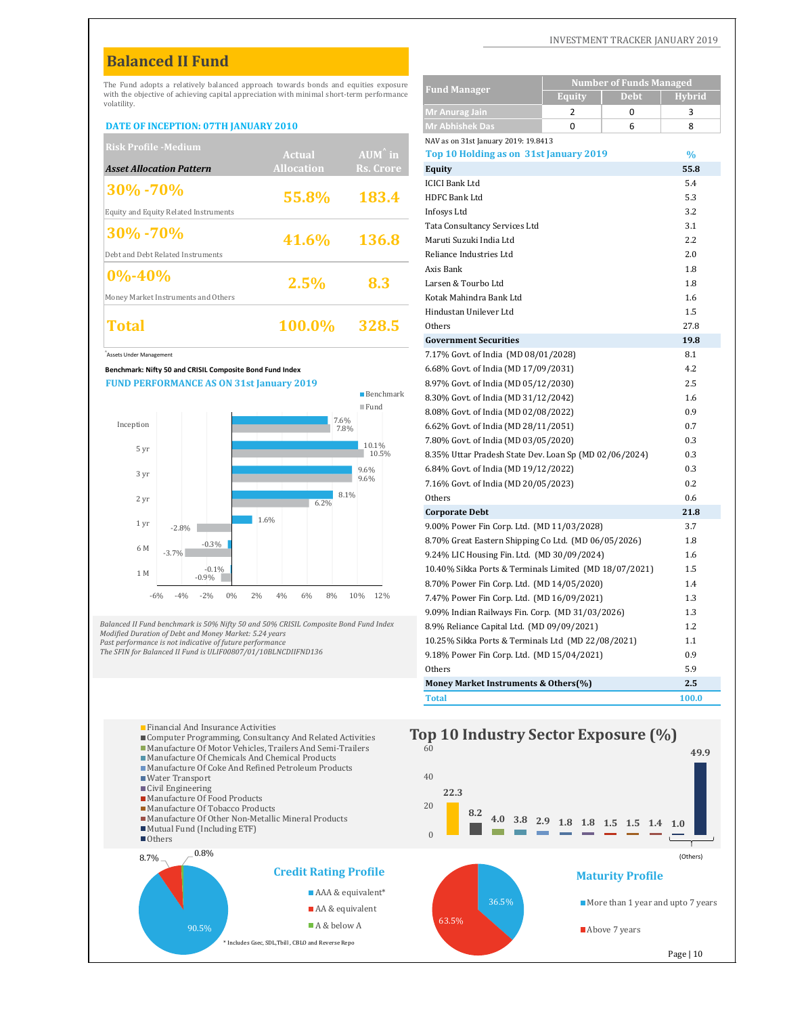# **Balanced II Fund**

#### **DATE OF INCEPTION: 07TH JANUARY 2010**

| <b>Risk Profile -Medium</b>           |                   |                   | NAV as on 31st January 2019: 19.8413   |               |
|---------------------------------------|-------------------|-------------------|----------------------------------------|---------------|
|                                       | <b>Actual</b>     | $AUM^{\hat{}}$ in | Top 10 Holding as on 31st January 2019 | $\frac{0}{0}$ |
| <b>Asset Allocation Pattern</b>       | <b>Allocation</b> | Rs. Crore         | Equity                                 | 55.8          |
| $ 30\% - 70\% $                       |                   |                   | <b>ICICI Bank Ltd</b>                  | 5.4           |
|                                       | 55.8%             | 183.4             | <b>HDFC Bank Ltd</b>                   | 5.3           |
| Equity and Equity Related Instruments |                   |                   | Infosys Ltd                            | 3.2           |
| $ 30\% - 70\% $                       |                   |                   | Tata Consultancy Services Ltd          | 3.1           |
|                                       | 41.6%             | 136.8             | Maruti Suzuki India Ltd                | 2.2           |
| Debt and Debt Related Instruments     |                   |                   | Reliance Industries Ltd                | 2.0           |
| $ 0\% - 40\%$                         |                   |                   | Axis Bank                              | 1.8           |
|                                       | 2.5%              | 8.3               | Larsen & Tourbo Ltd                    | 1.8           |
| Money Market Instruments and Others   |                   |                   | Kotak Mahindra Bank Ltd                | 1.6           |
|                                       |                   |                   | Hindustan Unilever Ltd                 | 1.5           |
| Total                                 | <b>100.0%</b>     | 328.5             | Others                                 | 27.8          |
|                                       |                   |                   |                                        |               |





| The Fund adopts a relatively balanced approach towards bonds and equities exposure                                                           |                      |                           |                                                                              | <b>Number of Funds Managed</b> |               |
|----------------------------------------------------------------------------------------------------------------------------------------------|----------------------|---------------------------|------------------------------------------------------------------------------|--------------------------------|---------------|
| with the objective of achieving capital appreciation with minimal short-term performance<br>volatility.                                      |                      |                           | <b>Fund Manager</b>                                                          | Equity<br>Debt                 | <b>Hybrid</b> |
|                                                                                                                                              |                      |                           | <b>Mr Anurag Jain</b>                                                        | $\overline{2}$<br>0            | 3             |
| <b>DATE OF INCEPTION: 07TH JANUARY 2010</b>                                                                                                  |                      |                           | <b>Mr Abhishek Das</b>                                                       | 0<br>6                         | 8             |
| <b>Risk Profile -Medium</b>                                                                                                                  |                      |                           | NAV as on 31st January 2019: 19.8413                                         |                                |               |
|                                                                                                                                              | <b>Actual</b>        | $\overrightarrow{AUM}$ in | Top 10 Holding as on 31st January 2019                                       |                                | $\frac{0}{0}$ |
| <b>Asset Allocation Pattern</b>                                                                                                              | <b>Allocation</b>    | <b>Rs. Crore</b>          | Equity                                                                       |                                | 55.8          |
| 30%-70%                                                                                                                                      | 55.8%                | 183.4                     | <b>ICICI Bank Ltd</b><br><b>HDFC Bank Ltd</b>                                |                                | 5.4<br>5.3    |
| Equity and Equity Related Instruments                                                                                                        |                      |                           | Infosys Ltd                                                                  |                                | 3.2           |
|                                                                                                                                              |                      |                           | Tata Consultancy Services Ltd                                                |                                | 3.1           |
| 30% - 70%                                                                                                                                    | 41.6%                | 136.8                     | Maruti Suzuki India Ltd                                                      |                                | 2.2           |
| Debt and Debt Related Instruments                                                                                                            |                      |                           | Reliance Industries Ltd                                                      |                                | 2.0           |
|                                                                                                                                              |                      |                           | Axis Bank                                                                    |                                | 1.8           |
| $0\% - 40\%$                                                                                                                                 | 2.5%                 | 8.3                       | Larsen & Tourbo Ltd                                                          |                                | 1.8           |
| Money Market Instruments and Others                                                                                                          |                      |                           | Kotak Mahindra Bank Ltd                                                      |                                | 1.6           |
|                                                                                                                                              |                      |                           | Hindustan Unilever Ltd                                                       |                                | 1.5           |
| Total                                                                                                                                        | 100.0%               | 328.5                     | Others                                                                       |                                | 27.8          |
|                                                                                                                                              |                      |                           | <b>Government Securities</b>                                                 |                                | 19.8          |
| Assets Under Management                                                                                                                      |                      |                           | 7.17% Govt. of India (MD 08/01/2028)                                         |                                | 8.1           |
| Benchmark: Nifty 50 and CRISIL Composite Bond Fund Index                                                                                     |                      |                           | 6.68% Govt. of India (MD 17/09/2031)                                         |                                | 4.2           |
| <b>FUND PERFORMANCE AS ON 31st January 2019</b>                                                                                              |                      | <b>Benchmark</b>          | 8.97% Govt. of India (MD 05/12/2030)                                         |                                | 2.5           |
|                                                                                                                                              |                      | $\blacksquare$ Fund       | 8.30% Govt. of India (MD 31/12/2042)                                         |                                | 1.6           |
|                                                                                                                                              | 7.6%                 |                           | 8.08% Govt. of India (MD 02/08/2022)                                         |                                | 0.9           |
| Inception                                                                                                                                    | 7.8%                 |                           | 6.62% Govt. of India (MD 28/11/2051)                                         |                                | 0.7           |
| 5 yr                                                                                                                                         |                      | 10.1%<br>10.5%            | 7.80% Govt. of India (MD 03/05/2020)                                         |                                | 0.3           |
|                                                                                                                                              |                      |                           | 8.35% Uttar Pradesh State Dev. Loan Sp (MD 02/06/2024)                       |                                | 0.3           |
| 3 yr                                                                                                                                         |                      | 9.6%<br>9.6%              | 6.84% Govt. of India (MD 19/12/2022)<br>7.16% Govt. of India (MD 20/05/2023) |                                | 0.3<br>0.2    |
|                                                                                                                                              | 8.1%                 |                           | Others                                                                       |                                | 0.6           |
| 2 yr                                                                                                                                         | 6.2%                 |                           | <b>Corporate Debt</b>                                                        |                                | 21.8          |
| 1 yr<br>$-2.8%$                                                                                                                              | 1.6%                 |                           | 9.00% Power Fin Corp. Ltd. (MD 11/03/2028)                                   |                                | 3.7           |
| $-0.3%$                                                                                                                                      |                      |                           | 8.70% Great Eastern Shipping Co Ltd. (MD 06/05/2026)                         |                                | 1.8           |
| 6 M<br>$-3.7%$                                                                                                                               |                      |                           | 9.24% LIC Housing Fin. Ltd. (MD 30/09/2024)                                  |                                | 1.6           |
| $-0.1%$<br>1 M                                                                                                                               |                      |                           | 10.40% Sikka Ports & Terminals Limited (MD 18/07/2021)                       |                                | 1.5           |
| $-0.9%$                                                                                                                                      |                      |                           | 8.70% Power Fin Corp. Ltd. (MD 14/05/2020)                                   |                                | 1.4           |
| 0%<br>$-4%$<br>$-2%$<br>$-6%$                                                                                                                | 2%<br>4%<br>6%<br>8% | 10%<br>12%                | 7.47% Power Fin Corp. Ltd. (MD 16/09/2021)                                   |                                | 1.3           |
|                                                                                                                                              |                      |                           | 9.09% Indian Railways Fin. Corp. (MD 31/03/2026)                             |                                | 1.3           |
| alanced II Fund benchmark is 50% Nifty 50 and 50% CRISIL Composite Bond Fund Index<br>lodified Duration of Debt and Money Market: 5.24 years |                      |                           | 8.9% Reliance Capital Ltd. (MD 09/09/2021)                                   |                                | 1.2           |
| ast performance is not indicative of future performance                                                                                      |                      |                           | 10.25% Sikka Ports & Terminals Ltd (MD 22/08/2021)                           |                                | 1.1           |
| he SFIN for Balanced II Fund is ULIF00807/01/10BLNCDIIFND136                                                                                 |                      |                           | 9.18% Power Fin Corp. Ltd. (MD 15/04/2021)                                   |                                | 0.9           |
|                                                                                                                                              |                      |                           | Others                                                                       |                                | 5.9           |
|                                                                                                                                              |                      |                           | Money Market Instruments & Others(%)                                         |                                | 2.5           |
|                                                                                                                                              |                      |                           | <b>Total</b>                                                                 |                                | 100.0         |

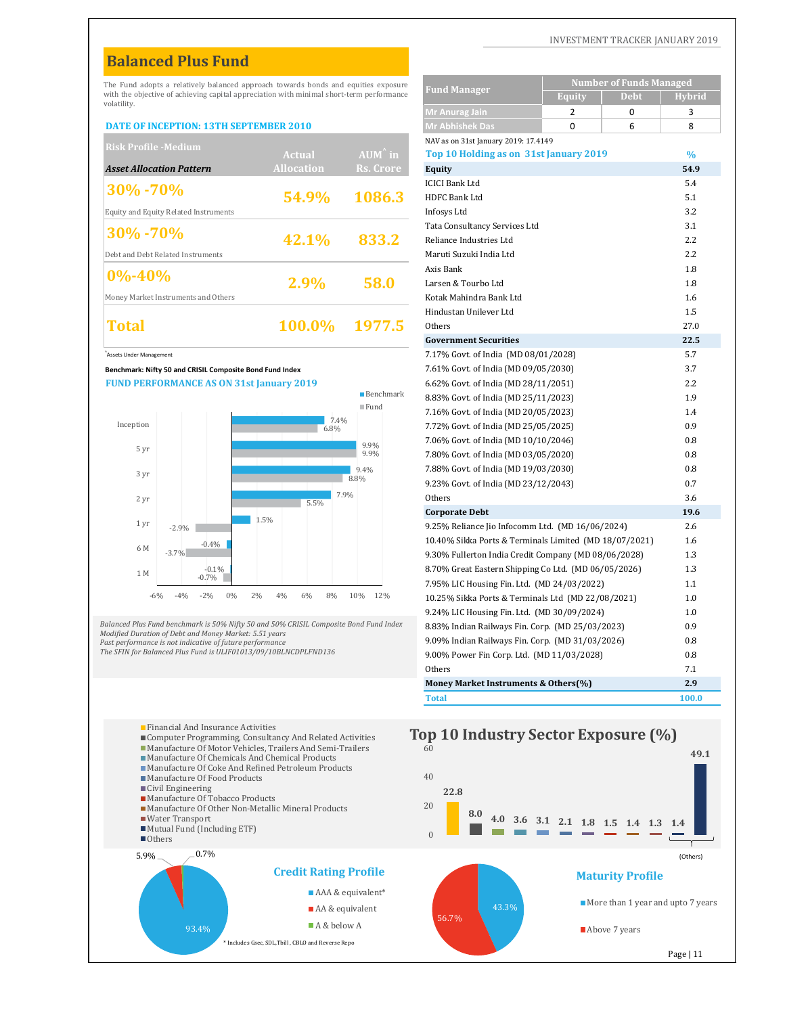# **Balanced Plus Fund**

#### **DATE OF INCEPTION: 13TH SEPTEMBER 2010**

| <b>Risk Profile -Medium</b>           |                   |                   | NAV as on 31st January 2019: 17.4149   |               |
|---------------------------------------|-------------------|-------------------|----------------------------------------|---------------|
|                                       | Actual            | $AUM^{\hat{}}$ in | Top 10 Holding as on 31st January 2019 | $\frac{0}{0}$ |
| <b>Asset Allocation Pattern</b>       | <b>Allocation</b> | Rs. Crore         | Equity                                 | 54.9          |
| $ 30\% - 70\%$                        |                   |                   | <b>ICICI Bank Ltd</b>                  | 5.4           |
|                                       | 54.9%             | 1086.3            | HDFC Bank Ltd                          | 5.1           |
| Equity and Equity Related Instruments |                   |                   | Infosys Ltd                            | 3.2           |
| $ 30\% - 70\%$                        |                   |                   | Tata Consultancy Services Ltd          | 3.1           |
|                                       | 42.1%             | 833.2             | Reliance Industries Ltd                | 2.2           |
| Debt and Debt Related Instruments     |                   |                   | Maruti Suzuki India Ltd                | 2.2           |
| $ 0\% - 40\% $                        |                   |                   | Axis Bank                              | 1.8           |
|                                       | 2.9%              | 58.0              | Larsen & Tourbo Ltd                    | 1.8           |
| Money Market Instruments and Others   |                   |                   | Kotak Mahindra Bank Ltd                | 1.6           |
|                                       |                   |                   | Hindustan Unilever Ltd                 | 1.5           |
| <b>Total</b>                          | <b>100.0%</b>     | 1977.5            | Others                                 | 27.0          |
|                                       |                   |                   |                                        |               |





| The Fund adopts a relatively balanced approach towards bonds and equities exposure                                        |                   |                          |                                                                                                      |                | <b>Number of Funds Managed</b> |               |
|---------------------------------------------------------------------------------------------------------------------------|-------------------|--------------------------|------------------------------------------------------------------------------------------------------|----------------|--------------------------------|---------------|
| with the objective of achieving capital appreciation with minimal short-term performance<br>volatility.                   |                   |                          | <b>Fund Manager</b>                                                                                  | <b>Equity</b>  | Debt                           | <b>Hybrid</b> |
|                                                                                                                           |                   |                          | Mr Anurag Jain                                                                                       | $\overline{2}$ | $\mathbf 0$                    | 3             |
| <b>DATE OF INCEPTION: 13TH SEPTEMBER 2010</b>                                                                             |                   |                          | <b>Mr Abhishek Das</b>                                                                               | $\Omega$       | 6                              | 8             |
| <b>Risk Profile -Medium</b>                                                                                               |                   |                          | NAV as on 31st January 2019: 17.4149                                                                 |                |                                |               |
|                                                                                                                           | <b>Actual</b>     | $AUM^{\hat{}}$ in        | Top 10 Holding as on 31st January 2019                                                               |                |                                | $\%$          |
| <b>Asset Allocation Pattern</b>                                                                                           | <b>Allocation</b> | Rs. Crore                | Equity                                                                                               |                |                                | 54.9          |
| 30%-70%                                                                                                                   |                   |                          | <b>ICICI Bank Ltd</b>                                                                                |                |                                | 5.4           |
| <b>Equity and Equity Related Instruments</b>                                                                              | 54.9%             | 1086.3                   | <b>HDFC Bank Ltd</b><br>Infosys Ltd                                                                  |                |                                | 5.1<br>3.2    |
|                                                                                                                           |                   |                          | Tata Consultancy Services Ltd                                                                        |                |                                | 3.1           |
| 30% - 70%                                                                                                                 | 42.1%             | 833.2                    | Reliance Industries Ltd                                                                              |                |                                | 2.2           |
| Debt and Debt Related Instruments                                                                                         |                   |                          | Maruti Suzuki India Ltd                                                                              |                |                                | 2.2           |
|                                                                                                                           |                   |                          | Axis Bank                                                                                            |                |                                | 1.8           |
| $0\% - 40\%$                                                                                                              | 2.9%              | 58.0                     | Larsen & Tourbo Ltd                                                                                  |                |                                | 1.8           |
| Money Market Instruments and Others                                                                                       |                   |                          | Kotak Mahindra Bank Ltd                                                                              |                |                                | 1.6           |
|                                                                                                                           |                   |                          | Hindustan Unilever Ltd                                                                               |                |                                | 1.5           |
| Total                                                                                                                     | 100.0%            | 1977.5                   | Others                                                                                               |                |                                | 27.0          |
|                                                                                                                           |                   |                          | <b>Government Securities</b>                                                                         |                |                                | 22.5          |
| Assets Under Management                                                                                                   |                   |                          | 7.17% Govt. of India (MD 08/01/2028)                                                                 |                |                                | 5.7           |
| Benchmark: Nifty 50 and CRISIL Composite Bond Fund Index                                                                  |                   |                          | 7.61% Govt. of India (MD 09/05/2030)                                                                 |                |                                | 3.7           |
| <b>FUND PERFORMANCE AS ON 31st January 2019</b>                                                                           |                   | $\blacksquare$ Benchmark | 6.62% Govt. of India (MD 28/11/2051)                                                                 |                |                                | 2.2<br>1.9    |
|                                                                                                                           |                   | $\blacksquare$ Fund      | 8.83% Govt. of India (MD 25/11/2023)<br>7.16% Govt. of India (MD 20/05/2023)                         |                |                                | 1.4           |
| Inception                                                                                                                 | 7.4%              |                          | 7.72% Govt. of India (MD 25/05/2025)                                                                 |                |                                | 0.9           |
|                                                                                                                           | 6.8%              |                          | 7.06% Govt. of India (MD 10/10/2046)                                                                 |                |                                | 0.8           |
| 5 yr                                                                                                                      |                   | 9.9%<br>9.9%             | 7.80% Govt. of India (MD 03/05/2020)                                                                 |                |                                | 0.8           |
|                                                                                                                           |                   | 9.4%                     | 7.88% Govt. of India (MD 19/03/2030)                                                                 |                |                                | 0.8           |
| 3 yr                                                                                                                      |                   | 8.8%                     | 9.23% Govt. of India (MD 23/12/2043)                                                                 |                |                                | 0.7           |
| 2 yr                                                                                                                      | 7.9%<br>5.5%      |                          | Others                                                                                               |                |                                | 3.6           |
| 1.5%                                                                                                                      |                   |                          | <b>Corporate Debt</b>                                                                                |                |                                | 19.6          |
| 1 <sub>yr</sub><br>$-2.9%$                                                                                                |                   |                          | 9.25% Reliance Jio Infocomm Ltd. (MD 16/06/2024)                                                     |                |                                | 2.6           |
| $-0.4%$<br>6 M                                                                                                            |                   |                          | 10.40% Sikka Ports & Terminals Limited (MD 18/07/2021)                                               |                |                                | 1.6           |
| $-3.7%$                                                                                                                   |                   |                          | 9.30% Fullerton India Credit Company (MD 08/06/2028)                                                 |                |                                | 1.3           |
| $-0.1%$<br>1 M<br>$-0.7%$                                                                                                 |                   |                          | 8.70% Great Eastern Shipping Co Ltd. (MD 06/05/2026)                                                 |                |                                | 1.3           |
| 0%<br>2%<br>$-6%$<br>$-4%$<br>$-2%$                                                                                       | 4%<br>8%<br>6%    | 12%<br>10%               | 7.95% LIC Housing Fin. Ltd. (MD 24/03/2022)                                                          |                |                                | 1.1           |
|                                                                                                                           |                   |                          | 10.25% Sikka Ports & Terminals Ltd (MD 22/08/2021)                                                   |                |                                | 1.0           |
| alanced Plus Fund benchmark is 50% Nifty 50 and 50% CRISIL Composite Bond Fund Index                                      |                   |                          | 9.24% LIC Housing Fin. Ltd. (MD 30/09/2024)                                                          |                |                                | 1.0           |
| lodified Duration of Debt and Money Market: 5.51 years                                                                    |                   |                          | 8.83% Indian Railways Fin. Corp. (MD 25/03/2023)<br>9.09% Indian Railways Fin. Corp. (MD 31/03/2026) |                |                                | 0.9<br>0.8    |
| ast performance is not indicative of future performance<br>he SFIN for Balanced Plus Fund is ULIF01013/09/10BLNCDPLFND136 |                   |                          | 9.00% Power Fin Corp. Ltd. (MD 11/03/2028)                                                           |                |                                | 0.8           |
|                                                                                                                           |                   |                          | Others                                                                                               |                |                                | 7.1           |
|                                                                                                                           |                   |                          | Money Market Instruments & Others(%)                                                                 |                |                                | 2.9           |
|                                                                                                                           |                   |                          | <b>Total</b>                                                                                         |                |                                | 100.0         |

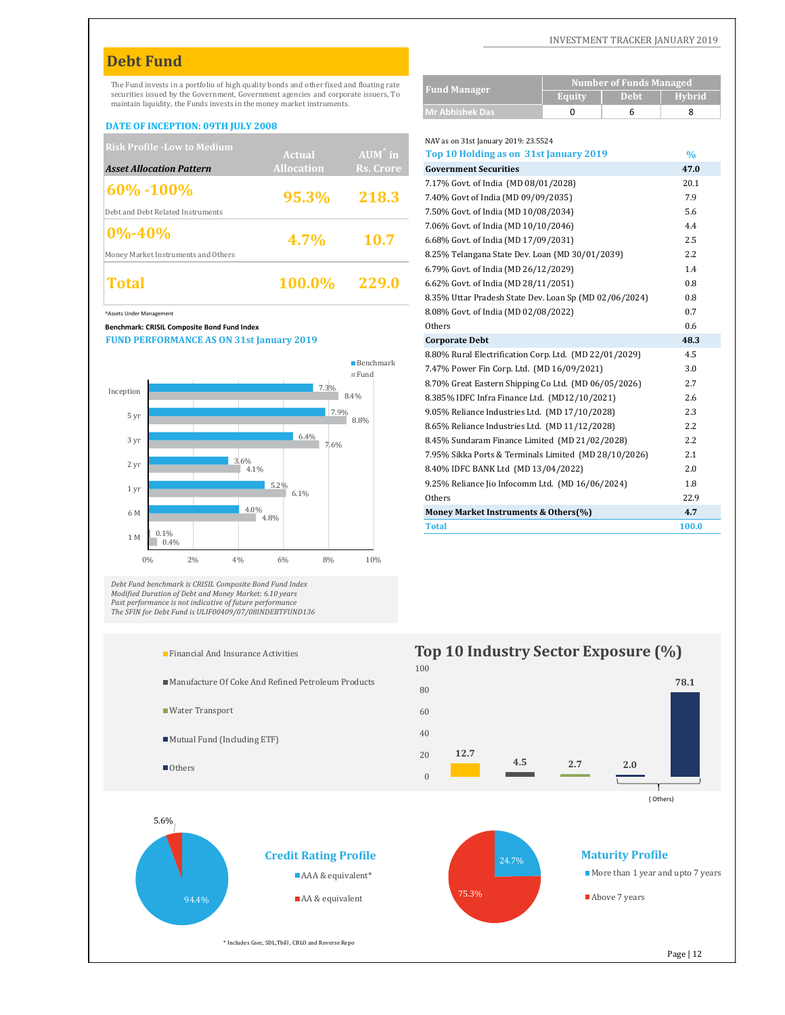# **Debt Fund**

#### **DATE OF INCEPTION: 09TH JULY 2008**

| <b>Risk Profile - Low to Medium</b> |                   |                   | NAV as on 31st January 2019: 23.5524            |                  |
|-------------------------------------|-------------------|-------------------|-------------------------------------------------|------------------|
|                                     | <b>Actual</b>     | $AUM^{\hat{}}$ in | Top 10 Holding as on 31st January 2019          | $\%$             |
| <b>Asset Allocation Pattern</b>     | <b>Allocation</b> | Rs. Crore         | <b>Government Securities</b>                    | 47.0             |
| $\frac{160\% - 100\%}{100\%}$       |                   |                   | 7.17% Govt. of India (MD 08/01/2028)            | 20.1             |
|                                     | 95.3%             | 218.3             | 7.40% Govt of India (MD 09/09/2035)             | 7.9              |
| Debt and Debt Related Instruments   |                   |                   | 7.50% Govt. of India (MD 10/08/2034)            | 5.6              |
| $10\% - 40\%$                       |                   |                   | 7.06% Govt. of India (MD 10/10/2046)            | 4.4              |
|                                     | $4.7\%$           | 10.7              | 6.68% Govt. of India (MD 17/09/2031)            | 2.5              |
| Money Market Instruments and Others |                   |                   | 8.25% Telangana State Dev. Loan (MD 30/01/2039) | $2.2\phantom{0}$ |
|                                     |                   |                   | 6.79% Govt. of India (MD 26/12/2029)            | 1.4              |
| Total                               | 100.0%            | 229.0             | 6.62% Govt. of India (MD 28/11/2051)            | 0.8              |
|                                     |                   |                   |                                                 |                  |

#### **Benchmark: CRISIL Composite Bond Fund Index**



Debt Fund benchmark is CRISIL Composite Bond Fund Index<br>Modified Duration of Debt and Money Market: 6.10 years<br>Past performance is not indicative of future performance<br>The SFIN for Debt Fund is ULIF00409/07/08INDEBTFUND136

- 
- Manufacture Of Coke And Refined Petroleum Products
- Water Transport
- Mutual Fund (Including ETF)
- Others



|                         | The Fund invests in a portfolio of high quality bonds and other fixed and floating rate<br>securities issued by the Government, Government agencies and corporate issuers, To |              |                   |                          | <b>Fund Manager</b>                                    | <b>Number of Funds Managed</b>         |             |  |
|-------------------------|-------------------------------------------------------------------------------------------------------------------------------------------------------------------------------|--------------|-------------------|--------------------------|--------------------------------------------------------|----------------------------------------|-------------|--|
|                         | maintain liquidity, the Funds invests in the money market instruments.                                                                                                        |              |                   |                          | <b>Mr Abhishek Das</b>                                 | <b>Debt</b><br>Equity<br>$\Omega$<br>6 | Hybrid<br>8 |  |
|                         | DATE OF INCEPTION: 09TH JULY 2008                                                                                                                                             |              |                   |                          |                                                        |                                        |             |  |
|                         |                                                                                                                                                                               |              |                   |                          | NAV as on 31st January 2019: 23.5524                   |                                        |             |  |
|                         | <b>Risk Profile -Low to Medium</b>                                                                                                                                            |              | Actual            | $AIIM^{\wedge}$ in       | Top 10 Holding as on 31st January 2019                 |                                        | $\%$        |  |
|                         | <b>Asset Allocation Pattern</b>                                                                                                                                               |              | <b>Allocation</b> | <b>Rs. Crore</b>         | <b>Government Securities</b>                           |                                        | 47.0        |  |
|                         |                                                                                                                                                                               |              |                   |                          | 7.17% Govt. of India (MD 08/01/2028)                   |                                        | 20.1        |  |
| $60\% - 100\%$          |                                                                                                                                                                               |              | 95.3%             | 218.3                    | 7.40% Govt of India (MD 09/09/2035)                    |                                        | 7.9         |  |
|                         | Debt and Debt Related Instruments                                                                                                                                             |              |                   |                          | 7.50% Govt. of India (MD 10/08/2034)                   |                                        | 5.6         |  |
| $0\% - 40\%$            |                                                                                                                                                                               |              |                   |                          | 7.06% Govt. of India (MD 10/10/2046)                   |                                        | 4.4         |  |
|                         |                                                                                                                                                                               |              | 4.7%              | 10.7                     | 6.68% Govt. of India (MD 17/09/2031)                   |                                        | 2.5         |  |
|                         | Money Market Instruments and Others                                                                                                                                           |              |                   |                          | 8.25% Telangana State Dev. Loan (MD 30/01/2039)        |                                        | 2.2         |  |
|                         |                                                                                                                                                                               |              |                   |                          | 6.79% Govt. of India (MD 26/12/2029)                   |                                        | 1.4         |  |
| Total                   |                                                                                                                                                                               |              | 100.0%            | 229.0                    | 6.62% Govt. of India (MD 28/11/2051)                   |                                        | 0.8         |  |
|                         |                                                                                                                                                                               |              |                   |                          | 8.35% Uttar Pradesh State Dev. Loan Sp (MD 02/06/2024) |                                        | 0.8         |  |
| Assets Under Management |                                                                                                                                                                               |              |                   |                          | 8.08% Govt. of India (MD 02/08/2022)                   |                                        | 0.7         |  |
|                         | Benchmark: CRISIL Composite Bond Fund Index                                                                                                                                   |              |                   |                          | Others                                                 |                                        | 0.6         |  |
|                         | <b>FUND PERFORMANCE AS ON 31st January 2019</b>                                                                                                                               |              |                   |                          | <b>Corporate Debt</b>                                  |                                        | 48.3        |  |
|                         |                                                                                                                                                                               |              |                   | $\blacksquare$ Benchmark | 8.80% Rural Electrification Corp. Ltd. (MD 22/01/2029) |                                        | 4.5         |  |
|                         |                                                                                                                                                                               |              |                   | $\blacksquare$ Fund      | 7.47% Power Fin Corp. Ltd. (MD 16/09/2021)             |                                        | 3.0         |  |
| Inception               |                                                                                                                                                                               |              | 7.3%              |                          | 8.70% Great Eastern Shipping Co Ltd. (MD 06/05/2026)   |                                        | 2.7         |  |
|                         |                                                                                                                                                                               |              |                   | 8.4%                     | 8.385% IDFC Infra Finance Ltd. (MD12/10/2021)          |                                        | 2.6         |  |
| 5 yr                    |                                                                                                                                                                               |              |                   | 7.9%<br>8.8%             | 9.05% Reliance Industries Ltd. (MD 17/10/2028)         |                                        | 2.3         |  |
|                         |                                                                                                                                                                               |              |                   |                          | 8.65% Reliance Industries Ltd. (MD 11/12/2028)         |                                        | 2.2         |  |
| 3 yr                    |                                                                                                                                                                               |              | 6.4%              | 7.6%                     | 8.45% Sundaram Finance Limited (MD 21/02/2028)         |                                        | 2.2         |  |
|                         |                                                                                                                                                                               | 3.6%         |                   |                          | 7.95% Sikka Ports & Terminals Limited (MD 28/10/2026)  |                                        | 2.1         |  |
| 2 yr                    |                                                                                                                                                                               | 4.1%         |                   |                          | 8.40% IDFC BANK Ltd (MD 13/04/2022)                    |                                        | 2.0         |  |
| 1 yr                    |                                                                                                                                                                               | 5.2%         |                   |                          | 9.25% Reliance Jio Infocomm Ltd. (MD 16/06/2024)       |                                        | 1.8         |  |
|                         |                                                                                                                                                                               |              | 6.1%              |                          | Others                                                 |                                        | 22.9        |  |
| 6 M                     |                                                                                                                                                                               | 4.0%<br>4.8% |                   |                          | Money Market Instruments & Others(%)                   |                                        | 4.7         |  |
| $1 - 3.4$               | 0.1%                                                                                                                                                                          |              |                   |                          | Total                                                  |                                        | 100.0       |  |





Financial And Insurance Activities **Top 10 Industry Sector Exposure (%)**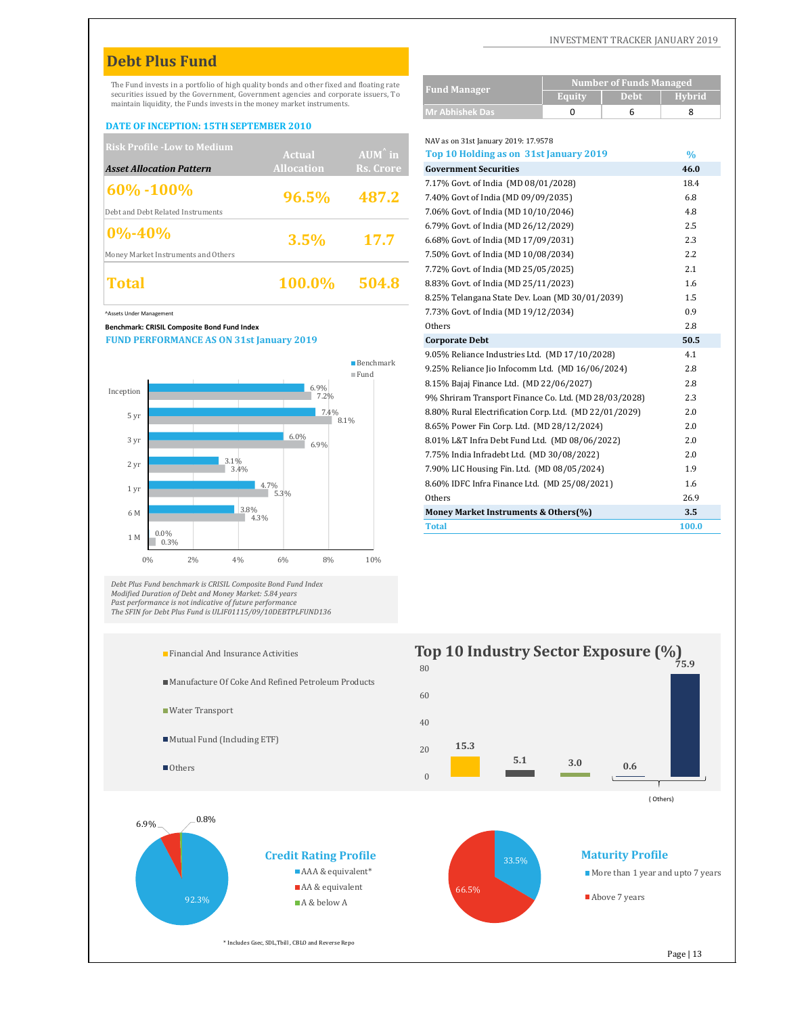# **Debt Plus Fund**

#### **DATE OF INCEPTION: 15TH SEPTEMBER 2010**

| <b>Risk Profile - Low to Medium</b> |                   |                   | NAV as on 31st January 2019: 17.9578   |                  |
|-------------------------------------|-------------------|-------------------|----------------------------------------|------------------|
|                                     | <b>Actual</b>     | $AUM^{\hat{}}$ in | Top 10 Holding as on 31st January 2019 | $\%$             |
| <b>Asset Allocation Pattern</b>     | <b>Allocation</b> | Rs. Crore         | <b>Government Securities</b>           | 46.0             |
| $ 60\% - 100\% $                    |                   |                   | 7.17% Govt. of India (MD 08/01/2028)   | 18.4             |
|                                     | 96.5%             | 487.2             | 7.40% Govt of India (MD 09/09/2035)    | 6.8              |
| Debt and Debt Related Instruments   |                   |                   | 7.06% Govt. of India (MD 10/10/2046)   | 4.8              |
| $ 0\% - 40\% $                      |                   |                   | 6.79% Govt. of India (MD 26/12/2029)   | 2.5              |
|                                     | 3.5%              | 17.7              | 6.68% Govt. of India (MD 17/09/2031)   | 2.3              |
| Money Market Instruments and Others |                   |                   | 7.50% Govt. of India (MD 10/08/2034)   | $2.2\phantom{0}$ |
|                                     |                   |                   | 7.72% Govt. of India (MD 25/05/2025)   | 2.1              |
| Total                               | 100.0%            | 504.8             | 8.83% Govt. of India (MD 25/11/2023)   | 1.6              |
|                                     |                   |                   |                                        |                  |

#### **Benchmark: CRISIL Composite Bond Fund Index**



Debt Plus Fund benchmark is CRISIL Composite Bond Fund Index<br>Modified Duration of Debt and Money Market: 5.84 years<br>Past performance is not indicative of future performance<br>The SFIN for Debt Plus Fund is ULIF01115/09/10DEB



- Manufacture Of Coke And Refined Petroleum Products
- Water Transport
- Mutual Fund (Including ETF)
- Others



| DEDL F IUS FUIIU                                                                                                                                             |                   |                          |                                                                                                      |                                |               |
|--------------------------------------------------------------------------------------------------------------------------------------------------------------|-------------------|--------------------------|------------------------------------------------------------------------------------------------------|--------------------------------|---------------|
| The Fund invests in a portfolio of high quality bonds and other fixed and floating rate                                                                      |                   |                          | <b>Fund Manager</b>                                                                                  | <b>Number of Funds Managed</b> |               |
| securities issued by the Government, Government agencies and corporate issuers, To<br>maintain liquidity, the Funds invests in the money market instruments. |                   |                          |                                                                                                      | <b>Debt</b><br><b>Equity</b>   | <b>Hybrid</b> |
|                                                                                                                                                              |                   |                          | <b>Mr Abhishek Das</b>                                                                               | 0<br>6                         | 8             |
| <b>DATE OF INCEPTION: 15TH SEPTEMBER 2010</b>                                                                                                                |                   |                          |                                                                                                      |                                |               |
| <b>Risk Profile -Low to Medium</b>                                                                                                                           | <b>Actual</b>     | AUM <sup>^</sup> in      | NAV as on 31st January 2019: 17.9578<br>Top 10 Holding as on 31st January 2019                       |                                | $\frac{0}{0}$ |
| <b>Asset Allocation Pattern</b>                                                                                                                              | <b>Allocation</b> | Rs. Crore                | <b>Government Securities</b>                                                                         |                                | 46.0          |
|                                                                                                                                                              |                   |                          | 7.17% Govt. of India (MD 08/01/2028)                                                                 |                                | 18.4          |
| 60%-100%                                                                                                                                                     | 96.5%             | 487.2                    | 7.40% Govt of India (MD 09/09/2035)                                                                  |                                | 6.8           |
| Debt and Debt Related Instruments                                                                                                                            |                   |                          | 7.06% Govt. of India (MD 10/10/2046)                                                                 |                                | 4.8           |
|                                                                                                                                                              |                   |                          | 6.79% Govt. of India (MD 26/12/2029)                                                                 |                                | 2.5           |
| $0\% - 40\%$                                                                                                                                                 | 3.5%              | 17.7                     | 6.68% Govt. of India (MD 17/09/2031)                                                                 |                                | 2.3           |
| Money Market Instruments and Others                                                                                                                          |                   |                          | 7.50% Govt. of India (MD 10/08/2034)                                                                 |                                | 2.2           |
|                                                                                                                                                              |                   |                          | 7.72% Govt. of India (MD 25/05/2025)                                                                 |                                | 2.1           |
| <b>Total</b>                                                                                                                                                 | 100.0%            | 504.8                    | 8.83% Govt. of India (MD 25/11/2023)                                                                 |                                | 1.6           |
|                                                                                                                                                              |                   |                          | 8.25% Telangana State Dev. Loan (MD 30/01/2039)                                                      |                                | 1.5           |
| Assets Under Management                                                                                                                                      |                   |                          | 7.73% Govt. of India (MD 19/12/2034)                                                                 |                                | 0.9           |
| Benchmark: CRISIL Composite Bond Fund Index                                                                                                                  |                   |                          | Others                                                                                               |                                | 2.8           |
| <b>FUND PERFORMANCE AS ON 31st January 2019</b>                                                                                                              |                   |                          | <b>Corporate Debt</b>                                                                                |                                | 50.5          |
|                                                                                                                                                              |                   | $\blacksquare$ Benchmark | 9.05% Reliance Industries Ltd. (MD 17/10/2028)                                                       |                                | 4.1           |
|                                                                                                                                                              |                   | $\blacksquare$ Fund      | 9.25% Reliance Jio Infocomm Ltd. (MD 16/06/2024)                                                     |                                | 2.8           |
| Inception                                                                                                                                                    | 6.9%<br>7.2%      |                          | 8.15% Bajaj Finance Ltd. (MD 22/06/2027)                                                             |                                | 2.8           |
|                                                                                                                                                              |                   |                          | 9% Shriram Transport Finance Co. Ltd. (MD 28/03/2028)                                                |                                | 2.3<br>2.0    |
| 5 yr                                                                                                                                                         | 7.4%              | 8.1%                     | 8.80% Rural Electrification Corp. Ltd. (MD 22/01/2029)<br>8.65% Power Fin Corp. Ltd. (MD 28/12/2024) |                                | 2.0           |
| 3 yr                                                                                                                                                         | 6.0%              |                          | 8.01% L&T Infra Debt Fund Ltd. (MD 08/06/2022)                                                       |                                | 2.0           |
|                                                                                                                                                              | 6.9%              |                          | 7.75% India Infradebt Ltd. (MD 30/08/2022)                                                           |                                | 2.0           |
| 3.1%<br>2 yr<br>3.4%                                                                                                                                         |                   |                          | 7.90% LIC Housing Fin. Ltd. (MD 08/05/2024)                                                          |                                | 1.9           |
|                                                                                                                                                              | 4.7%              |                          | 8.60% IDFC Infra Finance Ltd. (MD 25/08/2021)                                                        |                                | 1.6           |
| 1 yr                                                                                                                                                         | 5.3%              |                          | Others                                                                                               |                                | 26.9          |
| 6 M                                                                                                                                                          | 3.8%<br>4.3%      |                          | Money Market Instruments & Others(%)                                                                 |                                | 3.5           |
|                                                                                                                                                              |                   |                          | <b>Total</b>                                                                                         |                                | 100.0         |



66.5%

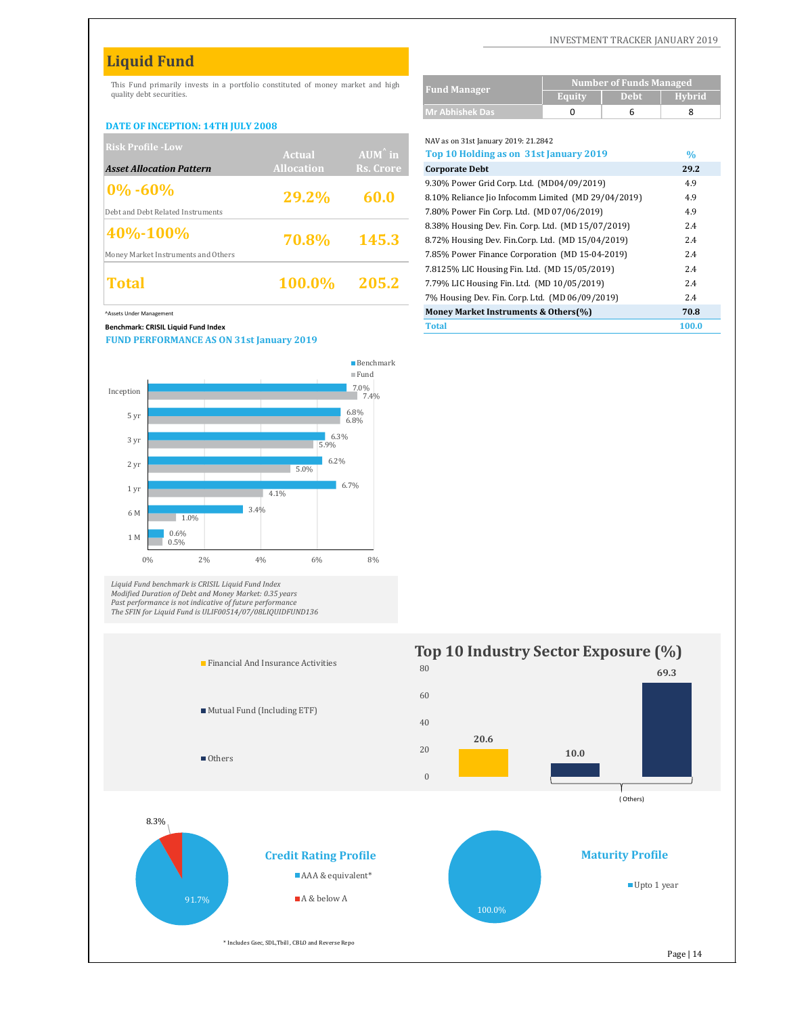# **Liquid Fund**

This Fund primarily invests in a portfolio constituted of money market and high quality debt securities.

#### **DATE OF INCEPTION: 14TH JULY 2008**

| <b>Risk Profile - Low</b>           |                   |                   | NAV as on 31st January 2019: 21.2842                |      |
|-------------------------------------|-------------------|-------------------|-----------------------------------------------------|------|
|                                     | Actual            | $AUM^{\hat{}}$ in | Top 10 Holding as on 31st January 2019              | $\%$ |
| <b>Asset Allocation Pattern</b>     | <b>Allocation</b> | Rs. Crore         | <b>Corporate Debt</b>                               | 29.2 |
|                                     |                   |                   | 9.30% Power Grid Corp. Ltd. (MD04/09/2019)          | 4.9  |
| $ 0\% - 60\% $                      | 29.2%             | 60.0              | 8.10% Reliance Jio Infocomm Limited (MD 29/04/2019) | 4.9  |
| Debt and Debt Related Instruments   |                   |                   | 7.80% Power Fin Corp. Ltd. (MD 07/06/2019)          | 4.9  |
| 40%-100%                            |                   |                   | 8.38% Housing Dev. Fin. Corp. Ltd. (MD 15/07/2019)  | 2.4  |
|                                     | 70.8%             | 145.3             | 8.72% Housing Dev. Fin.Corp. Ltd. (MD 15/04/2019)   | 2.4  |
| Money Market Instruments and Others |                   |                   | 7.85% Power Finance Corporation (MD 15-04-2019)     | 2.4  |
|                                     |                   |                   | 7.8125% LIC Housing Fin. Ltd. (MD 15/05/2019)       | 2.4  |
| Total                               | 100.0%            | 205.2             | 7.79% LIC Housing Fin. Ltd. (MD 10/05/2019)         | 2.4  |
|                                     |                   |                   |                                                     |      |

^Assets Under Management **Money Market Instruments & Others(%) 70.8**

#### **Benchmark: CRISIL Liquid Fund Index Total 100.0**

**FUND PERFORMANCE AS ON 31st January 2019**



Liquid Fund benchmark is CRISIL Liquid Fund Index<br>Modified Duration of Debt and Money Market: 0.35 years<br>Past performance is not indicative of future performance<br>The SFIN for Liquid Fund is ULIF00514/07/08LIQUIDFUND136



|                                                            | <b>Number of Funds Managed</b> |             |               |  |  |
|------------------------------------------------------------|--------------------------------|-------------|---------------|--|--|
| <b>Fund Manager</b>                                        | <b>Equity</b>                  | <b>Debt</b> | <b>Hybrid</b> |  |  |
| <b>Mr Abhishek Das</b>                                     | 0                              | 6           | 8             |  |  |
|                                                            |                                |             |               |  |  |
| NAV as on 31st January 2019: 21.2842                       |                                |             |               |  |  |
| Top 10 Holding as on 31st January 2019                     |                                |             | $\frac{0}{0}$ |  |  |
| 29.2<br><b>Corporate Debt</b>                              |                                |             |               |  |  |
| 9.30% Power Grid Corp. Ltd. (MD04/09/2019)                 | 4.9                            |             |               |  |  |
| 8.10% Reliance Jio Infocomm Limited (MD 29/04/2019)<br>4.9 |                                |             |               |  |  |
| 4.9<br>7.80% Power Fin Corp. Ltd. (MD 07/06/2019)          |                                |             |               |  |  |
| 8.38% Housing Dev. Fin. Corp. Ltd. (MD 15/07/2019)         |                                |             | 2.4           |  |  |
| 8.72% Housing Dev. Fin.Corp. Ltd. (MD 15/04/2019)          |                                |             | 2.4           |  |  |
| 2.4<br>7.85% Power Finance Corporation (MD 15-04-2019)     |                                |             |               |  |  |
| 2.4<br>7.8125% LIC Housing Fin. Ltd. (MD 15/05/2019)       |                                |             |               |  |  |
| 2.4<br>7.79% LIC Housing Fin. Ltd. (MD 10/05/2019)         |                                |             |               |  |  |
| 7% Housing Dev. Fin. Corp. Ltd. (MD 06/09/2019)            |                                |             | 2.4           |  |  |
| Money Market Instruments & Others(%)                       |                                |             | 70.8          |  |  |
| <b>PRINTED BY</b>                                          |                                |             |               |  |  |

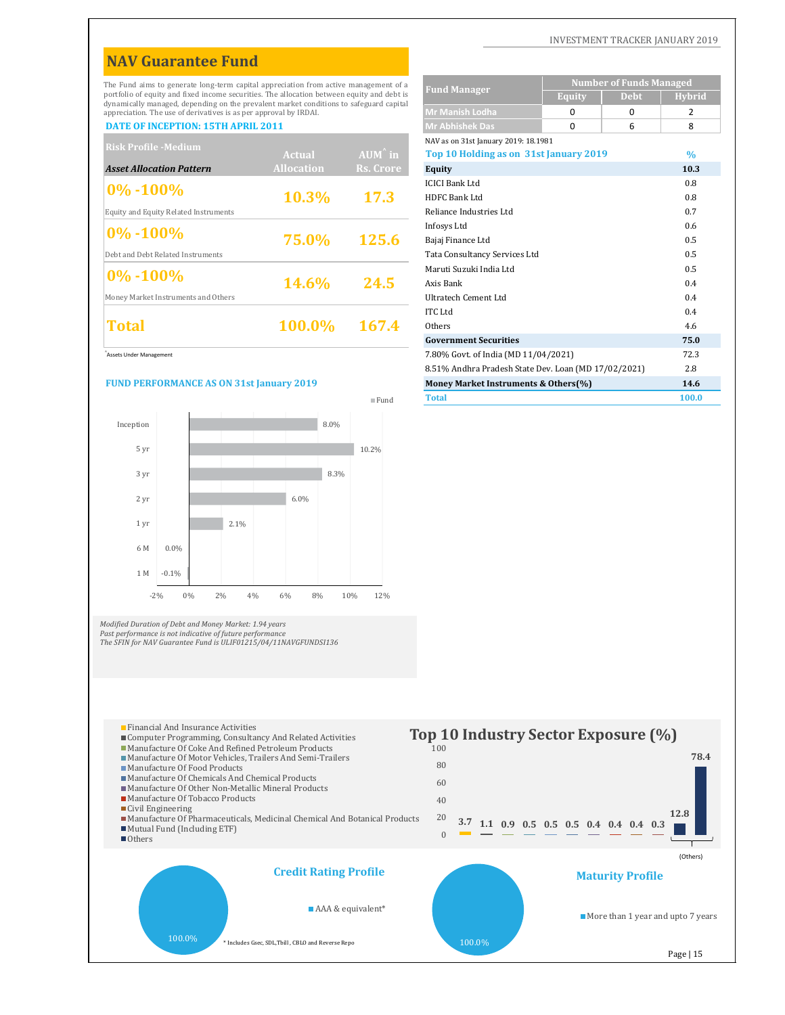# **NAV Guarantee Fund**

The Fund aims to generate long-term capital appreciation from active management of a portfolio of equity and fixed income securities. The allocation between equity and debt is dynamically managed, depending on the prevalent market conditions to safeguard capital appreciation. The use of derivatives is as per approval by IRDAI.

| <b>Risk Profile -Medium</b>           |                   |                   | NAV as on 31st January 2019: 18.1981   |               |
|---------------------------------------|-------------------|-------------------|----------------------------------------|---------------|
|                                       | Actual            | $AUM^{\hat{}}$ in | Top 10 Holding as on 31st January 2019 | $\frac{0}{0}$ |
| <b>Asset Allocation Pattern</b>       | <b>Allocation</b> | Rs. Crore         | <b>Equity</b>                          | 10.3          |
|                                       |                   |                   | <b>ICICI Bank Ltd</b>                  | 0.8           |
| $ 0\% - 100\%$                        | 10.3%             | <b>17.3</b>       | HDFC Bank Ltd                          | 0.8           |
| Equity and Equity Related Instruments |                   |                   | Reliance Industries Ltd                | 0.7           |
| $ 0\% - 100\%$                        |                   |                   | Infosys Ltd                            | 0.6           |
|                                       | 75.0%             | <b>125.6</b>      | Bajaj Finance Ltd                      | 0.5           |
| Debt and Debt Related Instruments     |                   |                   | Tata Consultancy Services Ltd          | 0.5           |
| $ 0\% - 100\%$                        |                   |                   | Maruti Suzuki India Ltd                | 0.5           |
|                                       | <b>14.6%</b>      | 24.5              | Axis Bank                              | 0.4           |
| Money Market Instruments and Others   |                   |                   | Ultratech Cement Ltd                   | 0.4           |
|                                       |                   |                   | <b>ITC Ltd</b>                         | 0.4           |
| Total                                 | 100.0%            | 167.4             | Others                                 | 4.6           |
|                                       |                   |                   | <b>Government Securities</b>           | 75.0          |

<sup>^</sup>Assets Under Management

#### **FUND PERFORMANCE AS ON 31st January 2019**



*Modified Duration of Debt and Money Market: 1.94 years Past performance is not indicative of future performance*

100.0%

Civil Engineering

Others

*The SFIN for NAV Guarantee Fund is ULIF01215/04/11NAVGFUNDSI136*

# Fund

### **Equity Debt Hybrid Mr Manish Lodha** 002 **DATE OF INCEPTION: 15TH APRIL 2011 Mr Abhishek Das** 068 NAV as on 31st January 2019: 18.1981 **%** ICICI Bank Ltd 0.8 HDFC Bank Ltd 0.8 Reliance Industries Ltd 0.7 Infosys Ltd 0.6 Bajaj Finance Ltd 0.5 Tata Consultancy Services Ltd 0.5 Maruti Suzuki India Ltd 0.5 Axis Bank 0.4 Ultratech Cement Ltd 0.4 **Fund Manager Number of Funds Managed Top 10 Holding as on 31st January 2019**



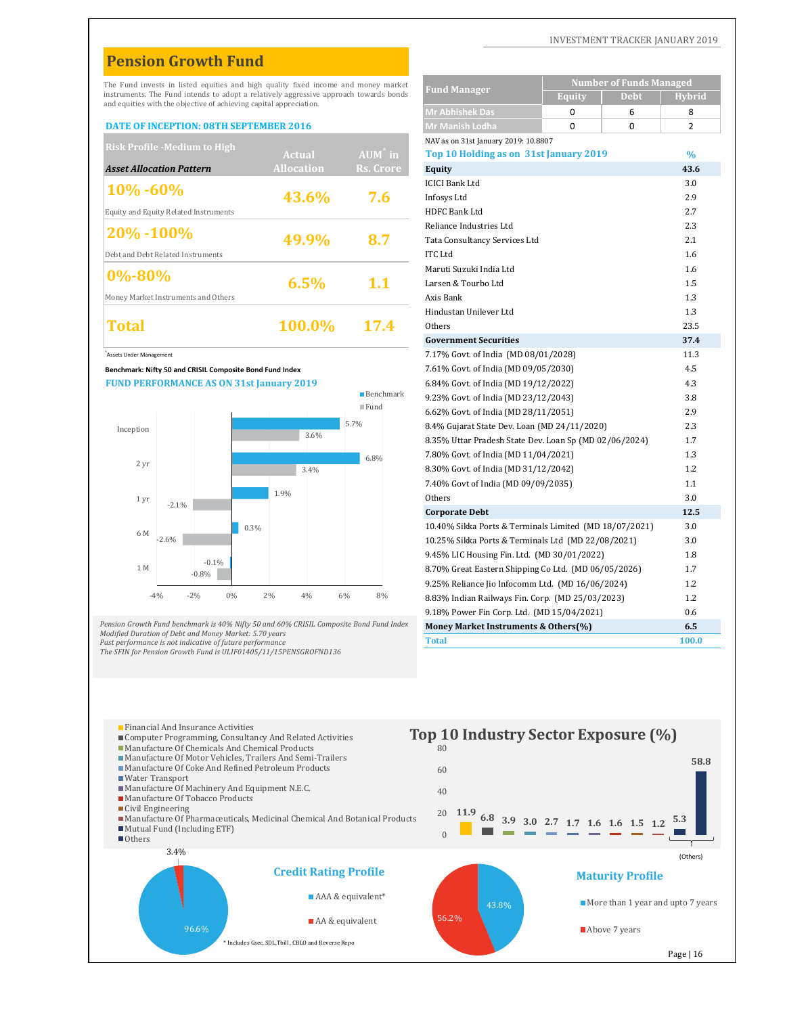# **Pension Growth Fund**

#### **DATE OF INCEPTION: 08TH SEPTEMBER 2016**

| <b>Risk Profile -Medium to High</b>   |                   |                     | NAV as on 31st January 2019: 10.8807   |               |
|---------------------------------------|-------------------|---------------------|----------------------------------------|---------------|
|                                       | Actual            | AUM <sup>^</sup> in | Top 10 Holding as on 31st January 2019 | $\frac{0}{0}$ |
| <b>Asset Allocation Pattern</b>       | <b>Allocation</b> | Rs. Crore           | Equity                                 | 43.6          |
| $10\% - 60\%$                         |                   |                     | <b>ICICI Bank Ltd</b>                  | 3.0           |
|                                       | 43.6%             | 7.6                 | Infosys Ltd                            | 2.9           |
| Equity and Equity Related Instruments |                   |                     | HDFC Bank Ltd                          | 2.7           |
|                                       |                   |                     | Reliance Industries Ltd                | 2.3           |
| $ 20\% - 100\% $                      | 49.9%             | 8.7                 | Tata Consultancy Services Ltd          | 2.1           |
| Debt and Debt Related Instruments     |                   |                     | <b>ITC</b> Ltd                         | 1.6           |
| $ 0\% - 80\%$                         |                   |                     | Maruti Suzuki India Ltd                | 1.6           |
|                                       | 6.5%              | 1.1                 | Larsen & Tourbo Ltd                    | 1.5           |
| Money Market Instruments and Others   |                   |                     | Axis Bank                              | 1.3           |
|                                       |                   |                     | Hindustan Unilever Ltd                 | 1.3           |
| Total                                 | <b>100.0%</b>     | 17.4                | Others                                 | 23.5          |
|                                       |                   |                     |                                        |               |



Pension Growth Fund benchmark is 40% Nifty 50 and 60% CRISIL Composite Bond Fund Index<br>Modified Duration of Debt and Money Market: 5.70 years *Past performance is not indicative of future performance*

*The SFIN for Pension Growth Fund is ULIF01405/11/15PENSGROFND136*

|                         |                                                                                                                   | The Fund invests in listed equities and high quality fixed income and money market    |                                                 | <b>Fund Manager</b>                                | <b>Number of Funds Managed</b>                         |               |
|-------------------------|-------------------------------------------------------------------------------------------------------------------|---------------------------------------------------------------------------------------|-------------------------------------------------|----------------------------------------------------|--------------------------------------------------------|---------------|
|                         | and equities with the objective of achieving capital appreciation.                                                | instruments. The Fund intends to adopt a relatively aggressive approach towards bonds |                                                 |                                                    | <b>Debt</b><br><b>Equity</b>                           | <b>Hybrid</b> |
|                         |                                                                                                                   |                                                                                       |                                                 | <b>Mr Abhishek Das</b>                             | 0<br>6                                                 | 8             |
|                         | DATE OF INCEPTION: 08TH SEPTEMBER 2016                                                                            |                                                                                       |                                                 | Mr Manish Lodha                                    | 0<br>0                                                 | 2             |
|                         | <b>Risk Profile -Medium to High</b>                                                                               |                                                                                       |                                                 | NAV as on 31st January 2019: 10.8807               |                                                        |               |
|                         |                                                                                                                   | Actual                                                                                | $AUM^{\wedge}$ in                               | Top 10 Holding as on 31st January 2019             |                                                        | $\%$          |
|                         | Asset Allocation Pattern                                                                                          | <b>Allocation</b>                                                                     | Rs. Crore                                       | <b>Equity</b>                                      |                                                        | 43.6          |
| 10%-60%                 |                                                                                                                   |                                                                                       |                                                 | <b>ICICI Bank Ltd</b>                              |                                                        | 3.0           |
|                         |                                                                                                                   | 43.6%                                                                                 | 7.6                                             | Infosys Ltd                                        |                                                        | 2.9           |
|                         | Equity and Equity Related Instruments                                                                             |                                                                                       |                                                 | HDFC Bank Ltd                                      |                                                        | 2.7           |
| 20%-100%                |                                                                                                                   |                                                                                       |                                                 | Reliance Industries Ltd                            |                                                        | 2.3           |
|                         |                                                                                                                   | 49.9%                                                                                 | 8.7                                             | Tata Consultancy Services Ltd                      |                                                        | 2.1           |
|                         | Debt and Debt Related Instruments                                                                                 |                                                                                       |                                                 | <b>ITC</b> Ltd                                     |                                                        | 1.6           |
| $0\% - 80\%$            |                                                                                                                   |                                                                                       |                                                 | Maruti Suzuki India Ltd                            |                                                        | 1.6           |
|                         |                                                                                                                   | 6.5%                                                                                  | 1.1                                             | Larsen & Tourbo Ltd                                |                                                        | 1.5           |
|                         | Money Market Instruments and Others                                                                               |                                                                                       |                                                 | Axis Bank                                          |                                                        | 1.3           |
|                         |                                                                                                                   |                                                                                       |                                                 | Hindustan Unilever Ltd                             |                                                        | 1.3           |
| Total                   |                                                                                                                   | 100.0%                                                                                | 17.4                                            | Others                                             |                                                        | 23.5          |
|                         |                                                                                                                   |                                                                                       |                                                 | <b>Government Securities</b>                       |                                                        | 37.4          |
| Assets Under Management |                                                                                                                   |                                                                                       |                                                 | 7.17% Govt. of India (MD 08/01/2028)               |                                                        | 11.3          |
|                         | Benchmark: Nifty 50 and CRISIL Composite Bond Fund Index                                                          |                                                                                       |                                                 | 7.61% Govt. of India (MD 09/05/2030)               |                                                        | 4.5           |
|                         | <b>FUND PERFORMANCE AS ON 31st January 2019</b>                                                                   |                                                                                       |                                                 | 6.84% Govt. of India (MD 19/12/2022)               |                                                        | 4.3           |
|                         |                                                                                                                   |                                                                                       | $\blacksquare$ Benchmark<br>$\blacksquare$ Fund | 9.23% Govt. of India (MD 23/12/2043)               |                                                        | 3.8           |
|                         |                                                                                                                   |                                                                                       |                                                 | 6.62% Govt. of India (MD 28/11/2051)               |                                                        | 2.9           |
| Inception               |                                                                                                                   |                                                                                       | 5.7%                                            | 8.4% Gujarat State Dev. Loan (MD 24/11/2020)       |                                                        | 2.3           |
|                         |                                                                                                                   | 3.6%                                                                                  |                                                 |                                                    | 8.35% Uttar Pradesh State Dev. Loan Sp (MD 02/06/2024) | 1.7           |
|                         |                                                                                                                   |                                                                                       | 6.8%                                            | 7.80% Govt. of India (MD 11/04/2021)               |                                                        | 1.3           |
| 2 yr                    |                                                                                                                   | 3.4%                                                                                  |                                                 | 8.30% Govt. of India (MD 31/12/2042)               |                                                        | 1.2           |
|                         |                                                                                                                   |                                                                                       |                                                 | 7.40% Govt of India (MD 09/09/2035)                |                                                        | 1.1           |
| 1 yr                    | $-2.1%$                                                                                                           | 1.9%                                                                                  |                                                 | Others                                             |                                                        | 3.0           |
|                         |                                                                                                                   |                                                                                       |                                                 | <b>Corporate Debt</b>                              |                                                        | 12.5          |
| 6 M                     |                                                                                                                   | 0.3%                                                                                  |                                                 |                                                    | 10.40% Sikka Ports & Terminals Limited (MD 18/07/2021) | 3.0           |
|                         | $-2.6%$                                                                                                           |                                                                                       |                                                 | 10.25% Sikka Ports & Terminals Ltd (MD 22/08/2021) |                                                        | 3.0           |
|                         |                                                                                                                   |                                                                                       |                                                 | 9.45% LIC Housing Fin. Ltd. (MD 30/01/2022)        |                                                        | 1.8           |
| 1 M                     | $-0.1%$<br>$-0.8%$                                                                                                |                                                                                       |                                                 |                                                    | 8.70% Great Eastern Shipping Co Ltd. (MD 06/05/2026)   | 1.7           |
|                         |                                                                                                                   |                                                                                       |                                                 | 9.25% Reliance Jio Infocomm Ltd. (MD 16/06/2024)   |                                                        | 1.2           |
|                         | $-2%$<br>0%<br>$-4%$                                                                                              | 2%<br>4%                                                                              | 6%<br>8%                                        | 8.83% Indian Railways Fin. Corp. (MD 25/03/2023)   |                                                        | 1.2           |
|                         |                                                                                                                   |                                                                                       |                                                 | 9.18% Power Fin Corp. Ltd. (MD 15/04/2021)         |                                                        | 0.6           |
|                         |                                                                                                                   | ension Growth Fund benchmark is 40% Nifty 50 and 60% CRISIL Composite Bond Fund Index |                                                 | Money Market Instruments & Others(%)               |                                                        | 6.5           |
|                         | lodified Duration of Debt and Money Market: 5.70 years<br>ast performance is not indicative of future performance |                                                                                       |                                                 | <b>Total</b>                                       |                                                        | 100.0         |

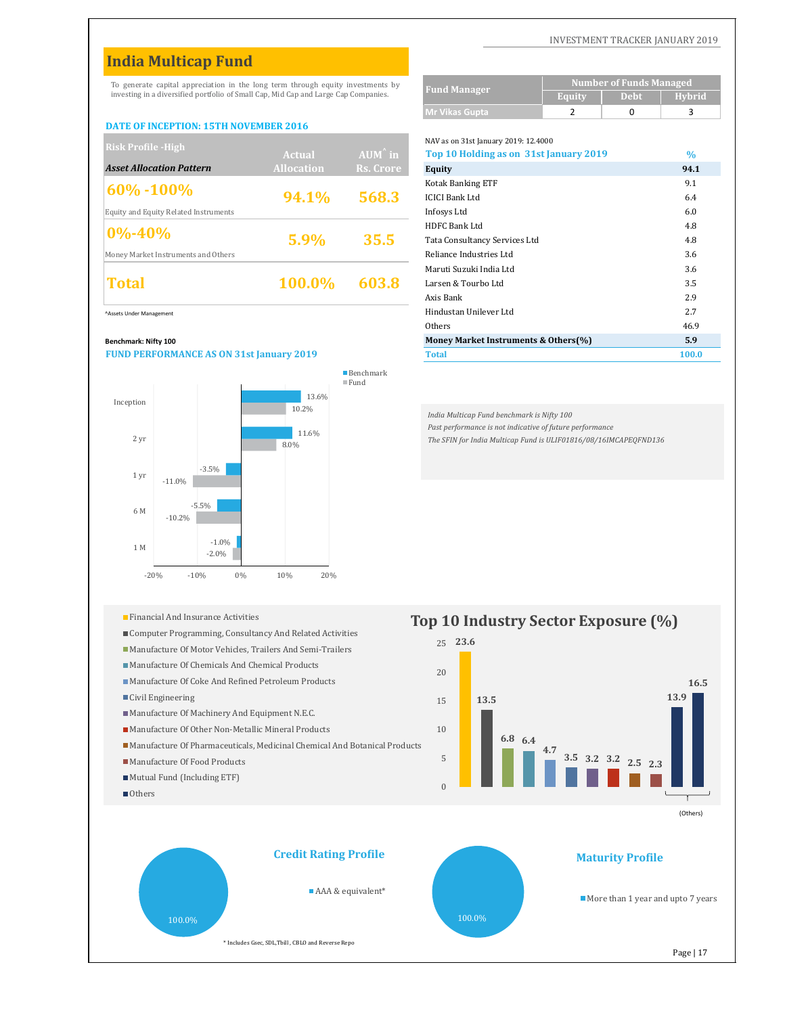# **India Multicap Fund**

To generate capital appreciation in the long term through equity investments by investing in a diversified portfolio of Small Cap, Mid Cap and Large Cap Companies.

#### **DATE OF INCEPTION: 15TH NOVEMBER 2016**

| <b>Risk Profile - High</b>            |                   |                   | NAV as on 31st January 2019: 12.4000   |               |
|---------------------------------------|-------------------|-------------------|----------------------------------------|---------------|
|                                       | <b>Actual</b>     | $AUM^{\hat{}}$ in | Top 10 Holding as on 31st January 2019 | $\frac{0}{0}$ |
| <b>Asset Allocation Pattern</b>       | <b>Allocation</b> | Rs. Crore         | Equity                                 | 94.1          |
| $\frac{160\% - 100\%}{100\%}$         |                   |                   | <b>Kotak Banking ETF</b>               | 9.1           |
|                                       | 94.1%             | 568.3             | <b>ICICI Bank Ltd</b>                  | 6.4           |
| Equity and Equity Related Instruments |                   |                   | Infosys Ltd                            | 6.0           |
| $0\% - 40\%$                          |                   |                   | <b>HDFC Bank Ltd</b>                   | 4.8           |
|                                       | 5.9%              | 35.5              | Tata Consultancy Services Ltd          | 4.8           |
| Money Market Instruments and Others   |                   |                   | Reliance Industries Ltd                | 3.6           |
|                                       |                   |                   | Maruti Suzuki India Ltd                | 3.6           |
| Total                                 | 100.0%            | 603.8             | Larsen & Tourbo Ltd                    | 3.5           |
|                                       |                   |                   |                                        |               |

#### **Benchmark: Nifty 100**

#### **FUND PERFORMANCE AS ON 31st January 2019**



- **Top 10 Industry Sector Exposure** (%)
- Computer Programming, Consultancy And Related Activities
- Manufacture Of Motor Vehicles, Trailers And Semi-Trailers
- Manufacture Of Chemicals And Chemical Products
- Manufacture Of Coke And Refined Petroleum Products
- Civil Engineering
- Manufacture Of Machinery And Equipment N.E.C.
- Manufacture Of Other Non-Metallic Mineral Products
- Manufacture Of Pharmaceuticals, Medicinal Chemical And Botanical Products
- Manufacture Of Food Products
- Mutual Fund (Including ETF)
- Others

#### INVESTMENT TRACKER JANUARY 2019

| <b>Fund Manager</b>   | <b>Number of Funds Managed</b> |             |        |  |  |
|-----------------------|--------------------------------|-------------|--------|--|--|
|                       | Equity                         | <b>Debt</b> | Hybrid |  |  |
| <b>Mr Vikas Gupta</b> |                                |             |        |  |  |

#### NAV as on 31st January 2019: 12.4000

| KISK Prome -High                                | <b>Actual</b>     | $AUM^{\hat{}}$ in | Top 10 Holding as on 31st January 2019 | $\frac{0}{0}$ |
|-------------------------------------------------|-------------------|-------------------|----------------------------------------|---------------|
| <b>Asset Allocation Pattern</b>                 | <b>Allocation</b> | <b>Rs. Crore</b>  | Equity                                 | 94.1          |
| $60\% - 100\%$                                  |                   |                   | <b>Kotak Banking ETF</b>               | 9.1           |
|                                                 | 94.1%             | 568.3             | <b>ICICI Bank Ltd</b>                  | 6.4           |
| Equity and Equity Related Instruments           |                   |                   | Infosys Ltd                            | 6.0           |
| $0\% - 40\%$                                    |                   | 35.5              | HDFC Bank Ltd                          | 4.8           |
|                                                 | 5.9%              |                   | Tata Consultancy Services Ltd          | 4.8           |
| Money Market Instruments and Others             |                   |                   | Reliance Industries Ltd                | 3.6           |
|                                                 |                   |                   | Maruti Suzuki India Ltd                | 3.6           |
| <b>Total</b>                                    | <b>100.0%</b>     | 603.8             | Larsen & Tourbo Ltd                    | 3.5           |
|                                                 |                   |                   | Axis Bank                              | 2.9           |
| Assets Under Management                         |                   |                   | Hindustan Unilever Ltd                 | 2.7           |
|                                                 |                   |                   | Others                                 | 46.9          |
| Benchmark: Nifty 100                            |                   |                   | Money Market Instruments & Others(%)   | 5.9           |
| <b>FUND PERFORMANCE AS ON 31st January 2019</b> |                   |                   | <b>Total</b>                           | 100.0         |
|                                                 |                   |                   |                                        |               |

*India Multicap Fund benchmark is Nifty 100*

*Past performance is not indicative of future performance*

*The SFIN for India Multicap Fund is ULIF01816/08/16IMCAPEQFND136*

# **23.6** 25 **16.5** 20



(Others)

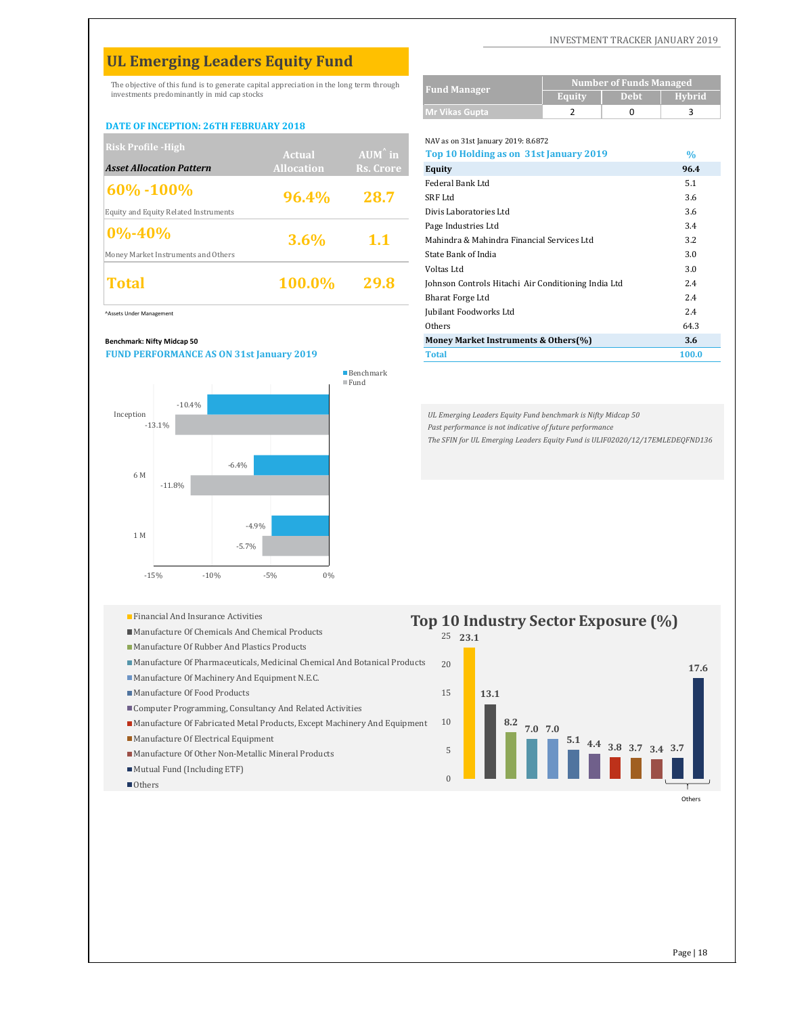# **UL Emerging Leaders Equity Fund**

The objective of this fund is to generate capital appreciation in the long term through investments predominantly in mid cap stocks

#### **DATE OF INCEPTION: 26TH FEBRUARY 2018**

| <b>Risk Profile - High</b>            |                   |                   | NAV as on 31st January 2019: 8.6872                 |      |
|---------------------------------------|-------------------|-------------------|-----------------------------------------------------|------|
|                                       | Actual            | $AUM^{\hat{}}$ in | Top 10 Holding as on 31st January 2019              | $\%$ |
| <b>Asset Allocation Pattern</b>       | <b>Allocation</b> | Rs. Crore         | Equity                                              | 96.4 |
| $60\% - 100\%$                        |                   |                   | Federal Bank Ltd                                    | 5.1  |
|                                       | 96.4%             | 28.7              | SRF Ltd                                             | 3.6  |
| Equity and Equity Related Instruments |                   |                   | Divis Laboratories Ltd                              | 3.6  |
| $0\% - 40\%$                          |                   |                   | Page Industries Ltd                                 | 3.4  |
|                                       | $3.6\%$           | 1.1               | Mahindra & Mahindra Financial Services Ltd          | 3.2  |
| Money Market Instruments and Others   |                   |                   | State Bank of India                                 | 3.0  |
|                                       |                   |                   | Voltas Ltd                                          | 3.0  |
| <b>Total</b>                          | <b>100.0%</b>     | 29.8              | Johnson Controls Hitachi Air Conditioning India Ltd | 2.4  |
|                                       |                   |                   | $D_{\text{hath}} + \Gamma_{\text{hmap}} I + d$      | 24   |

#### **Benchmark: Nifty Midcap 50**

#### **FUND PERFORMANCE AS ON 31st January 2019**



|  | <b>Financial And Insurance Activities</b> |
|--|-------------------------------------------|
|--|-------------------------------------------|

- Manufacture Of Chemicals And Chemical Products
- Manufacture Of Rubber And Plastics Products
- Manufacture Of Pharmaceuticals, Medicinal Chemical And Botanical Products
- Manufacture Of Machinery And Equipment N.E.C.
- Manufacture Of Food Products
- Computer Programming, Consultancy And Related Activities
- Manufacture Of Fabricated Metal Products, Except Machinery And Equipment
- **Manufacture Of Electrical Equipment**
- Manufacture Of Other Non-Metallic Mineral Products
- Mutual Fund (Including ETF)
- Others

#### INVESTMENT TRACKER JANUARY 2019

|                     | <b>Number of Funds Managed</b> |             |        |  |  |
|---------------------|--------------------------------|-------------|--------|--|--|
| <b>Fund Manager</b> | Equity                         | <b>Debt</b> | Hybrid |  |  |
| Mr Vikas Gupta      |                                |             |        |  |  |

NAV as on 31st January 2019: 8.6872

| KISK Pronie -High                               | Actual            | $AUM^{\hat{}}$ in | Top 10 Holding as on 31st January 2019              | $\%$  |
|-------------------------------------------------|-------------------|-------------------|-----------------------------------------------------|-------|
| <b>Asset Allocation Pattern</b>                 | <b>Allocation</b> | Rs. Crore         | <b>Equity</b>                                       | 96.4  |
| $60\% - 100\%$                                  |                   |                   | Federal Bank Ltd                                    | 5.1   |
|                                                 | 96.4%             | 28.7              | SRF Ltd                                             | 3.6   |
| <b>Equity and Equity Related Instruments</b>    |                   |                   | Divis Laboratories Ltd                              | 3.6   |
| $0\% - 40\%$                                    |                   | 1.1               | Page Industries Ltd                                 | 3.4   |
|                                                 | $3.6\%$           |                   | Mahindra & Mahindra Financial Services Ltd          | 3.2   |
| Money Market Instruments and Others             |                   |                   | State Bank of India                                 | 3.0   |
|                                                 |                   |                   | Voltas Ltd                                          | 3.0   |
| <b>Total</b>                                    | 100.0%            | 29.8              | Johnson Controls Hitachi Air Conditioning India Ltd | 2.4   |
|                                                 |                   |                   | <b>Bharat Forge Ltd</b>                             | 2.4   |
| Assets Under Management                         |                   |                   | Jubilant Foodworks Ltd                              | 2.4   |
|                                                 |                   |                   | Others                                              | 64.3  |
| Benchmark: Nifty Midcap 50                      |                   |                   | Money Market Instruments & Others(%)                | 3.6   |
| <b>FUND PERFORMANCE AS ON 31st January 2019</b> |                   |                   | <b>Total</b>                                        | 100.0 |

*UL Emerging Leaders Equity Fund benchmark is Nifty Midcap 50 Past performance is not indicative of future performance The SFIN for UL Emerging Leaders Equity Fund is ULIF02020/12/17EMLEDEQFND136*

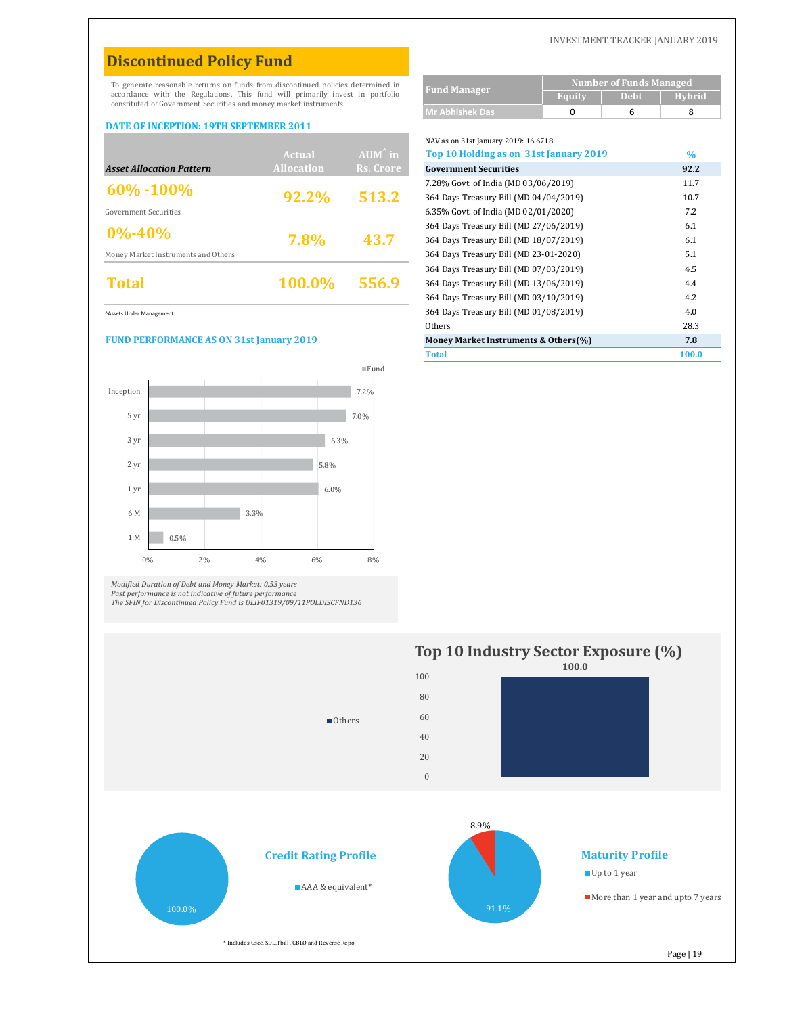# **Discontinued Policy Fund**

#### **DATE OF INCEPTION: 19TH SEPTEMBER 2011**

|                                     |                   |                   | NAV as on 31st january 2019: 16.6718   |      |
|-------------------------------------|-------------------|-------------------|----------------------------------------|------|
|                                     | Actual            | $AUM^{\wedge}$ in | Top 10 Holding as on 31st January 2019 | $\%$ |
| <b>Asset Allocation Pattern</b>     | <b>Allocation</b> | Rs. Crore         | <b>Government Securities</b>           | 92.2 |
| $ 60\% - 100\% $                    |                   |                   | 7.28% Govt. of India (MD 03/06/2019)   | 11.7 |
|                                     | 92.2%             | 513.2             | 364 Days Treasury Bill (MD 04/04/2019) | 10.7 |
| Government Securities               |                   |                   | 6.35% Govt. of India (MD 02/01/2020)   | 7.2  |
| $ 0\% - 40\% $                      |                   |                   | 364 Days Treasury Bill (MD 27/06/2019) | 6.1  |
|                                     | 7.8%              | 43.7              | 364 Days Treasury Bill (MD 18/07/2019) | 6.1  |
| Money Market Instruments and Others |                   |                   | 364 Days Treasury Bill (MD 23-01-2020) | 5.1  |
|                                     |                   |                   | 364 Days Treasury Bill (MD 07/03/2019) | 4.5  |
| Total                               | 100.0%            | 556.9             | 364 Days Treasury Bill (MD 13/06/2019) | 4.4  |
|                                     |                   |                   |                                        |      |

#### **FUND PERFORMANCE AS ON 31st January 2019**



Modified Duration of Debt and Money Market: 0.53 years<br>Past performance is not indicative of future performance<br>The SFIN for Discontinued Policy Fund is ULIF01319/09/11POLDISCFND136

| Discontinueu I oney I unu                                                        |                   |                        |                                        |                                |             |               |
|----------------------------------------------------------------------------------|-------------------|------------------------|----------------------------------------|--------------------------------|-------------|---------------|
| To generate reasonable returns on funds from discontinued policies determined in |                   |                        |                                        | <b>Number of Funds Managed</b> |             |               |
| accordance with the Regulations. This fund will primarily invest in portfolio    |                   |                        | <b>Fund Manager</b>                    | <b>Equity</b>                  | <b>Debt</b> | <b>Hybrid</b> |
| constituted of Government Securities and money market instruments.               |                   | <b>Mr Abhishek Das</b> | 0                                      | 6                              | 8           |               |
| <b>DATE OF INCEPTION: 19TH SEPTEMBER 2011</b>                                    |                   |                        |                                        |                                |             |               |
|                                                                                  |                   |                        | NAV as on 31st January 2019: 16.6718   |                                |             |               |
|                                                                                  | Actual            | $AUM^{\wedge}$ in      | Top 10 Holding as on 31st January 2019 |                                |             | $\frac{0}{0}$ |
| <b>Asset Allocation Pattern</b>                                                  | <b>Allocation</b> | Rs. Crore              | <b>Government Securities</b>           |                                |             | 92.2          |
| 60% - 100%                                                                       |                   |                        | 7.28% Govt. of India (MD 03/06/2019)   |                                |             | 11.7          |
|                                                                                  | 92.2%             | 513.2                  | 364 Days Treasury Bill (MD 04/04/2019) |                                |             | 10.7          |
| <b>Government Securities</b>                                                     |                   |                        | 6.35% Govt. of India (MD 02/01/2020)   |                                |             | 7.2           |
| $0\% - 40\%$                                                                     | 7.8%              | 43.7                   | 364 Days Treasury Bill (MD 27/06/2019) |                                |             | 6.1           |
|                                                                                  |                   |                        | 364 Days Treasury Bill (MD 18/07/2019) |                                |             | 6.1           |
| Money Market Instruments and Others                                              |                   |                        | 364 Days Treasury Bill (MD 23-01-2020) |                                |             | 5.1           |
|                                                                                  | 100.0%            | 556.9                  | 364 Days Treasury Bill (MD 07/03/2019) |                                |             | 4.5           |
| <b>Total</b>                                                                     |                   |                        | 364 Days Treasury Bill (MD 13/06/2019) |                                |             | 4.4           |
|                                                                                  |                   |                        | 364 Days Treasury Bill (MD 03/10/2019) |                                |             | 4.2           |
| Assets Under Management                                                          |                   |                        | 364 Days Treasury Bill (MD 01/08/2019) |                                |             | 4.0           |

| Others                               | 28.3  |
|--------------------------------------|-------|
| Money Market Instruments & Others(%) | 7.8   |
| <b>Total</b>                         | 100.0 |







■Others

## **Maturity Profile**

■ Up to 1 year

More than 1 year and upto 7 years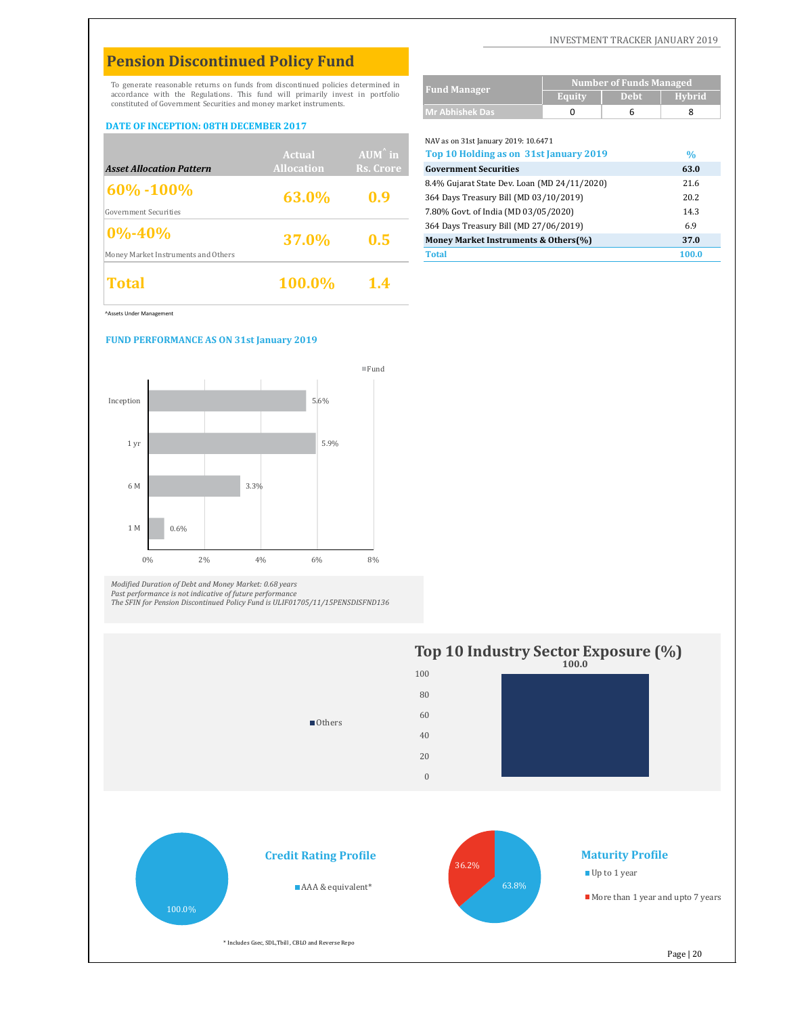# **Pension Discontinued Policy Fund**

To generate reasonable returns on funds from discontinued policies determined in accordance with the Regulations. This fund will primarily invest in portfolio constituted of Government Securities and money market instruments.

#### **DATE OF INCEPTION: 08TH DECEMBER 2017**

| Total                               | 100.0%            | 1.4               |                                              |       |
|-------------------------------------|-------------------|-------------------|----------------------------------------------|-------|
| Money Market Instruments and Others |                   |                   | <b>Total</b>                                 | 100.0 |
|                                     | 37.0%             | 0.5               | Money Market Instruments & Others(%)         | 37.0  |
| $ 0\% - 40\% $                      |                   |                   | 364 Days Treasury Bill (MD 27/06/2019)       | 6.9   |
| Government Securities               |                   |                   | 7.80% Govt. of India (MD 03/05/2020)         | 14.3  |
|                                     | 63.0%             | 0.9               | 364 Days Treasury Bill (MD 03/10/2019)       | 20.2  |
| $ 60\% - 100\% $                    |                   |                   | 8.4% Gujarat State Dev. Loan (MD 24/11/2020) | 21.6  |
| <b>Asset Allocation Pattern</b>     | <b>Allocation</b> | Rs. Crore         | <b>Government Securities</b>                 | 63.0  |
|                                     | Actual            | $AUM^{\hat{}}$ in | Top 10 Holding as on 31st January 2019       | $\%$  |
|                                     |                   |                   | $NAV$ as on Service and $VZ019:10.0471$      |       |

^Assets Under Management

#### **FUND PERFORMANCE AS ON 31st January 2019**



Modified Duration of Debt and Money Market: 0.68 years<br>Past performance is not indicative of future performance<br>The SFIN for Pension Discontinued Policy Fund is ULIF01705/11/15PENSDISFND136



More than 1 year and upto 7 years

\* Includes Gsec, SDL,Tbill , CBLO and Reverse Repo

INVESTMENT TRACKER JANUARY 2019

|                        | <b>Number of Funds Managed</b> |             |        |  |
|------------------------|--------------------------------|-------------|--------|--|
| <b>Fund Manager</b>    | Equity                         | <b>Debt</b> | Hybrid |  |
| <b>Mr Abhishek Das</b> |                                |             |        |  |
|                        |                                |             |        |  |

NAV as on 31st January 2019: 10.6471 **%** *Asset Allocation Pattern* **Government Securities 63.0** 8.4% Gujarat State Dev. Loan (MD 24/11/2020) 21.6 364 Days Treasury Bill (MD 03/10/2019) 20.2 7.80% Govt. of India (MD 03/05/2020) 14.3 364 Days Treasury Bill (MD 27/06/2019) 6.9 **Money Market Instruments & Others(%) 37.0 Top 10 Holding as on 31st January 2019**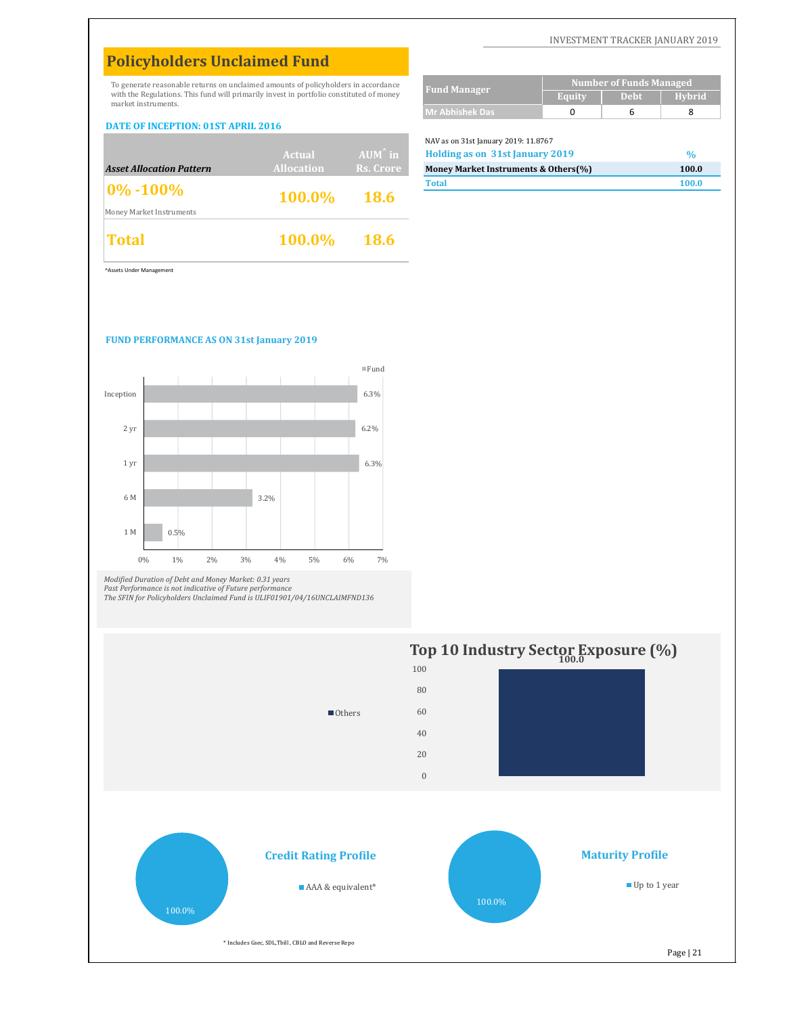# **Policyholders Unclaimed Fund**

To generate reasonable returns on unclaimed amounts of policyholders in accordance with the Regulations. This fund will primarily invest in portfolio constituted of money market instruments.

#### **DATE OF INCEPTION: 01ST APRIL 2016**

|                                 | Actual            | $AUM^{\hat{}}$ in | NAV as on 31st January 2019: 11.8767<br>Holding as on 31st January 2019 | $\%$  |
|---------------------------------|-------------------|-------------------|-------------------------------------------------------------------------|-------|
| <b>Asset Allocation Pattern</b> | <b>Allocation</b> | Rs. Crore         | Money Market Instruments & Others(%)                                    | 100.0 |
| $0\% - 100\%$                   | 100.0% 18.6       |                   | <b>Total</b>                                                            | 100.0 |
| Money Market Instruments        |                   |                   |                                                                         |       |
| <b>Total</b>                    | $100.0\%$ 18.6    |                   |                                                                         |       |

| <b>Fund Manager</b>    | Number of Funds Managed |             |               |  |
|------------------------|-------------------------|-------------|---------------|--|
|                        | Equity                  | <b>Debt</b> | <b>Hybrid</b> |  |
| <b>Mr Abhishek Das</b> |                         |             |               |  |

#### NAV as on 31st January 2019: 11.8767

| Holding as on 31st January 2019      | $\frac{1}{2}$ |
|--------------------------------------|---------------|
| Money Market Instruments & Others(%) | 100.0         |
| <b>Total</b>                         | 100.0         |

^Assets Under Management

#### **FUND PERFORMANCE AS ON 31st January 2019**



*Modified Duration of Debt and Money Market: 0.31 years Past Performance is not indicative of Future performance The SFIN for Policyholders Unclaimed Fund is ULIF01901/04/16UNCLAIMFND136*